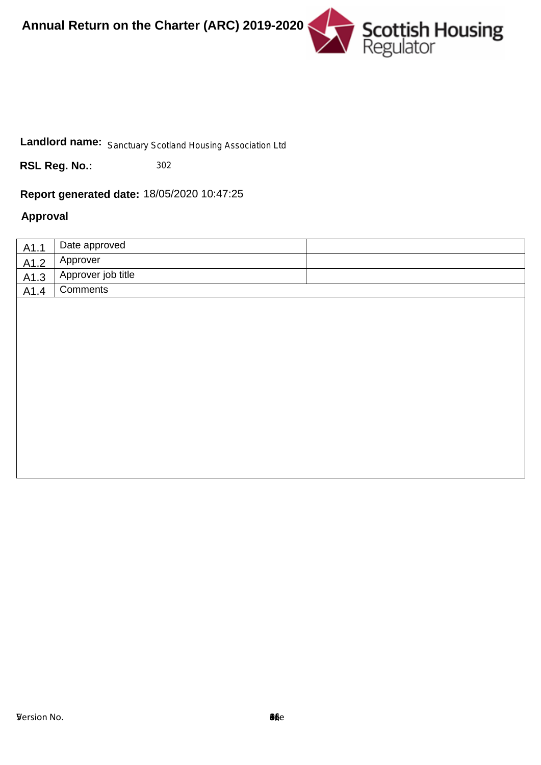



# Landlord name: Sanctuary Scotland Housing Association Ltd<br> **RSL Reg. No.:** 302<br> **Report generated date:** 18/05/2020 10:47:25

302

# **Approval**

| A1.1 | Date approved      |  |
|------|--------------------|--|
| A1.2 | Approver           |  |
| A1.3 | Approver job title |  |
| A1.4 | <b>Comments</b>    |  |
|      |                    |  |
|      |                    |  |
|      |                    |  |
|      |                    |  |
|      |                    |  |
|      |                    |  |
|      |                    |  |
|      |                    |  |
|      |                    |  |
|      |                    |  |
|      |                    |  |
|      |                    |  |
|      |                    |  |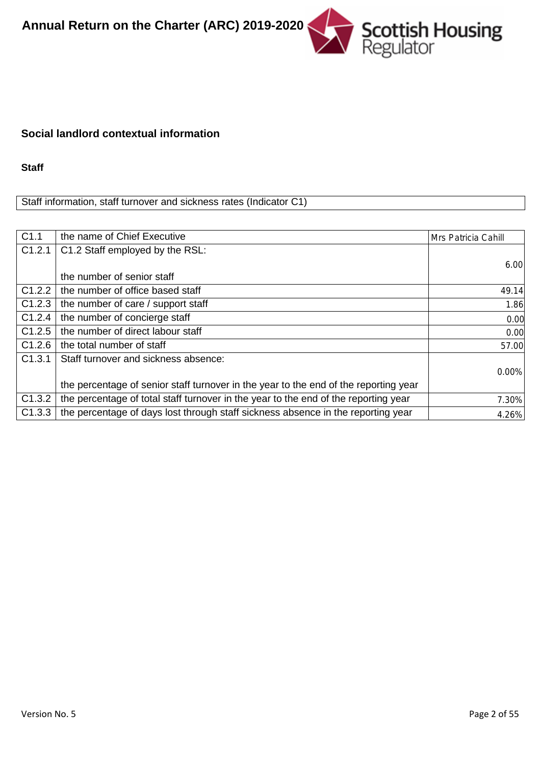

#### **Social landlord contextual information**

**Staff**

Staff information, staff turnover and sickness rates (Indicator C1)

| C1.1   | the name of Chief Executive                                                          | Mrs Patricia Cahill |
|--------|--------------------------------------------------------------------------------------|---------------------|
| C1.2.1 | C1.2 Staff employed by the RSL:                                                      |                     |
|        |                                                                                      | 6.00                |
|        | the number of senior staff                                                           |                     |
| C1.2.2 | the number of office based staff                                                     | 49.14               |
| C1.2.3 | the number of care / support staff                                                   | 1.86                |
| C1.2.4 | the number of concierge staff                                                        | 0.00                |
| C1.2.5 | the number of direct labour staff                                                    | 0.00                |
| C1.2.6 | the total number of staff                                                            | 57.00               |
| C1.3.1 | Staff turnover and sickness absence:                                                 |                     |
|        |                                                                                      | 0.00%               |
|        | the percentage of senior staff turnover in the year to the end of the reporting year |                     |
| C1.3.2 | the percentage of total staff turnover in the year to the end of the reporting year  | 7.30%               |
| C1.3.3 | the percentage of days lost through staff sickness absence in the reporting year     | 4.26%               |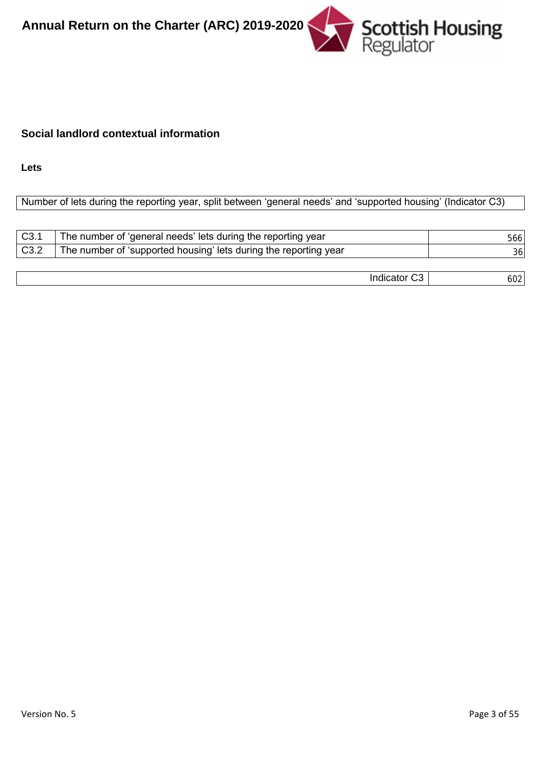

# **Social landlord contextual information**

**Lets**

# Number of lets during the reporting year, split between 'general needs' and 'supported housing' (Indicator C3)

| C <sub>3.1</sub> | The number of 'general needs' lets during the reporting year     | 5661 |
|------------------|------------------------------------------------------------------|------|
| C3.2             | The number of 'supported housing' lets during the reporting year | 36   |
|                  |                                                                  |      |
|                  | Indicator C3                                                     | 6021 |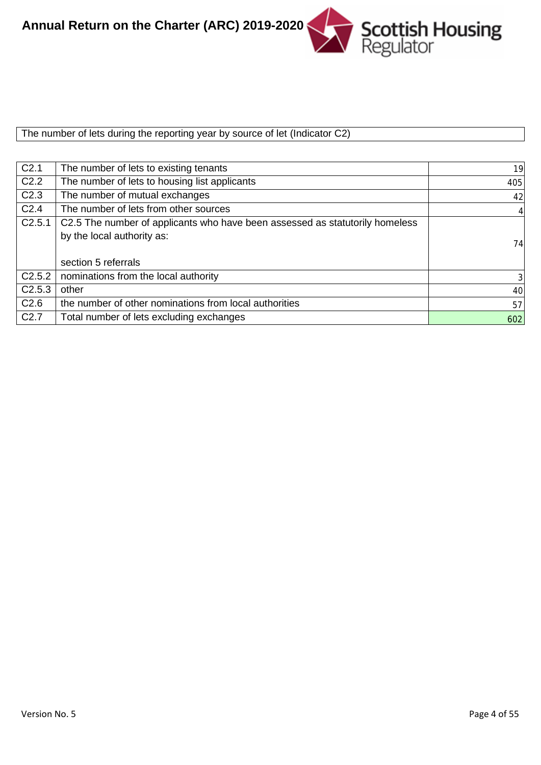Scottish Housing<br>Regulator **Annual Return on the Charter (ARC) 2019-2020**

The number of lets during the reporting year by source of let (Indicator C2)

| C <sub>2.1</sub> | The number of lets to existing tenants                                       | 19             |
|------------------|------------------------------------------------------------------------------|----------------|
| C <sub>2.2</sub> | The number of lets to housing list applicants                                | 405            |
| C <sub>2.3</sub> | The number of mutual exchanges                                               | 42             |
| C <sub>2.4</sub> | The number of lets from other sources                                        | $\vert$        |
| C2.5.1           | C2.5 The number of applicants who have been assessed as statutorily homeless |                |
|                  | by the local authority as:                                                   |                |
|                  |                                                                              | 74             |
|                  | section 5 referrals                                                          |                |
| C2.5.2           | nominations from the local authority                                         | 3 <sup>l</sup> |
| C2.5.3           | other                                                                        | 40             |
| C <sub>2.6</sub> | the number of other nominations from local authorities                       | 57             |
| C <sub>2.7</sub> | Total number of lets excluding exchanges                                     | 602            |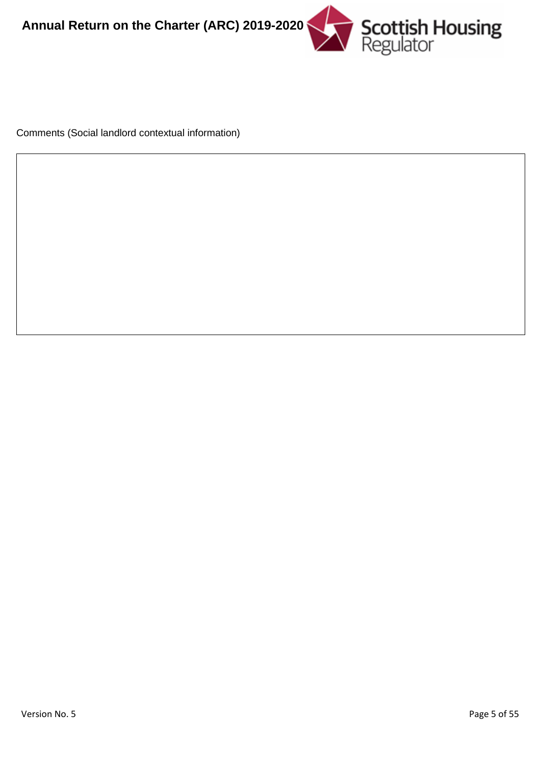

Comments (Social landlord contextual information)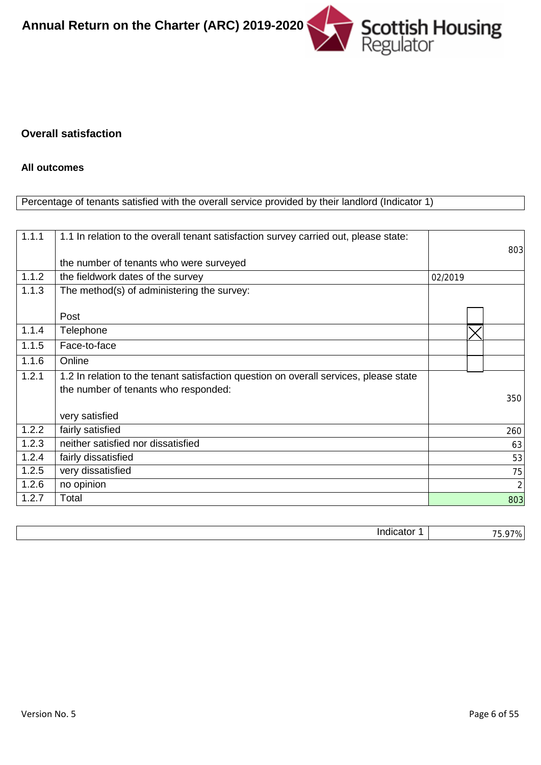

#### **Overall satisfaction**

#### **All outcomes**

#### Percentage of tenants satisfied with the overall service provided by their landlord (Indicator 1)

| 1.1.1 | 1.1 In relation to the overall tenant satisfaction survey carried out, please state:  |         |                |
|-------|---------------------------------------------------------------------------------------|---------|----------------|
|       |                                                                                       |         | 803            |
|       | the number of tenants who were surveyed                                               |         |                |
| 1.1.2 | the fieldwork dates of the survey                                                     | 02/2019 |                |
| 1.1.3 | The method(s) of administering the survey:                                            |         |                |
|       |                                                                                       |         |                |
|       | Post                                                                                  |         |                |
| 1.1.4 | Telephone                                                                             |         |                |
| 1.1.5 | Face-to-face                                                                          |         |                |
| 1.1.6 | Online                                                                                |         |                |
| 1.2.1 | 1.2 In relation to the tenant satisfaction question on overall services, please state |         |                |
|       | the number of tenants who responded:                                                  |         |                |
|       |                                                                                       |         | 350            |
|       | very satisfied                                                                        |         |                |
| 1.2.2 | fairly satisfied                                                                      |         | 260            |
| 1.2.3 | neither satisfied nor dissatisfied                                                    |         | 63             |
| 1.2.4 | fairly dissatisfied                                                                   |         | 53             |
| 1.2.5 | very dissatisfied                                                                     |         | 75             |
| 1.2.6 | no opinion                                                                            |         | $\overline{2}$ |
| 1.2.7 | Total                                                                                 |         | 803            |

| <br>л. |
|--------|
|        |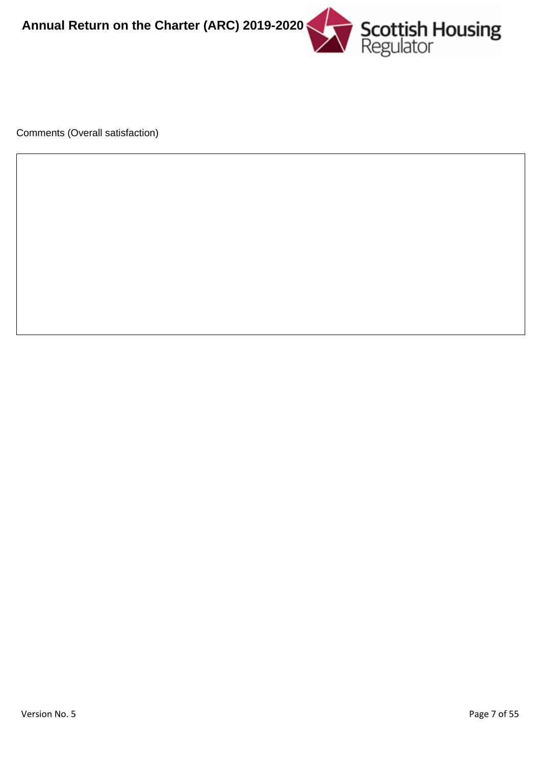

Comments (Overall satisfaction)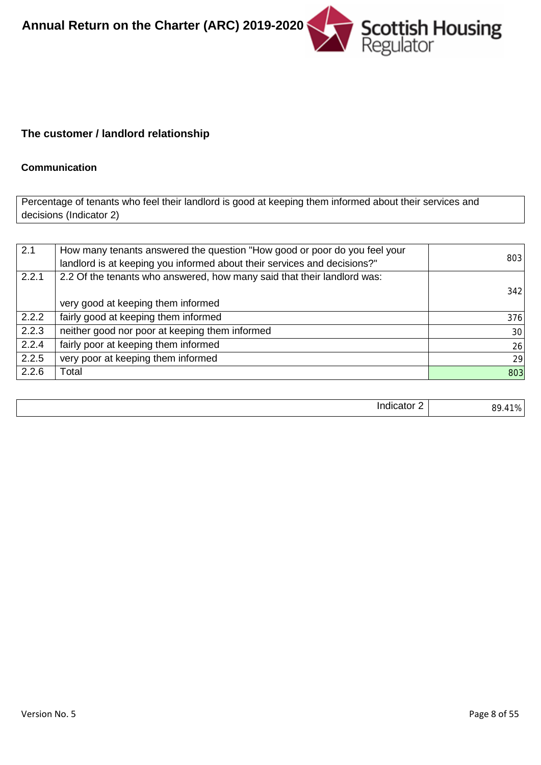

# **The customer / landlord relationship**

#### **Communication**

Percentage of tenants who feel their landlord is good at keeping them informed about their services and decisions (Indicator 2)

| 2.1   | How many tenants answered the question "How good or poor do you feel your<br>landlord is at keeping you informed about their services and decisions?" | 803 |
|-------|-------------------------------------------------------------------------------------------------------------------------------------------------------|-----|
| 2.2.1 | 2.2 Of the tenants who answered, how many said that their landlord was:                                                                               |     |
|       |                                                                                                                                                       | 342 |
|       | very good at keeping them informed                                                                                                                    |     |
| 2.2.2 | fairly good at keeping them informed                                                                                                                  | 376 |
| 2.2.3 | neither good nor poor at keeping them informed                                                                                                        | 30  |
| 2.2.4 | fairly poor at keeping them informed                                                                                                                  | 26  |
| 2.2.5 | very poor at keeping them informed                                                                                                                    | 29  |
| 2.2.6 | Total                                                                                                                                                 | 803 |

|--|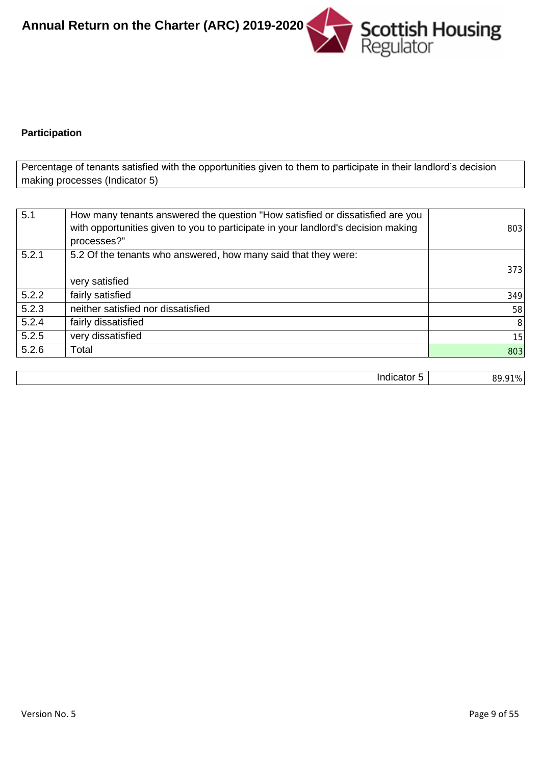

# **Participation**

Percentage of tenants satisfied with the opportunities given to them to participate in their landlord's decision making processes (Indicator 5)

|       | with opportunities given to you to participate in your landlord's decision making<br>processes?" | 803 |
|-------|--------------------------------------------------------------------------------------------------|-----|
| 5.2.1 | 5.2 Of the tenants who answered, how many said that they were:                                   |     |
|       |                                                                                                  | 373 |
|       | very satisfied                                                                                   |     |
| 5.2.2 | fairly satisfied                                                                                 | 349 |
| 5.2.3 | neither satisfied nor dissatisfied                                                               | 58  |
| 5.2.4 | fairly dissatisfied                                                                              | 8   |
| 5.2.5 | very dissatisfied                                                                                | 15  |
| 5.2.6 | Total                                                                                            | 803 |

| $\cdots$<br>$\overline{\phantom{a}}$<br>акж<br>ш<br>.<br>$\cdot$ | $\sim$ 4 $\sim$<br>ററ<br>ъ.<br>--<br>$\overline{\phantom{a}}$<br>70<br>__ |
|------------------------------------------------------------------|---------------------------------------------------------------------------|
|                                                                  |                                                                           |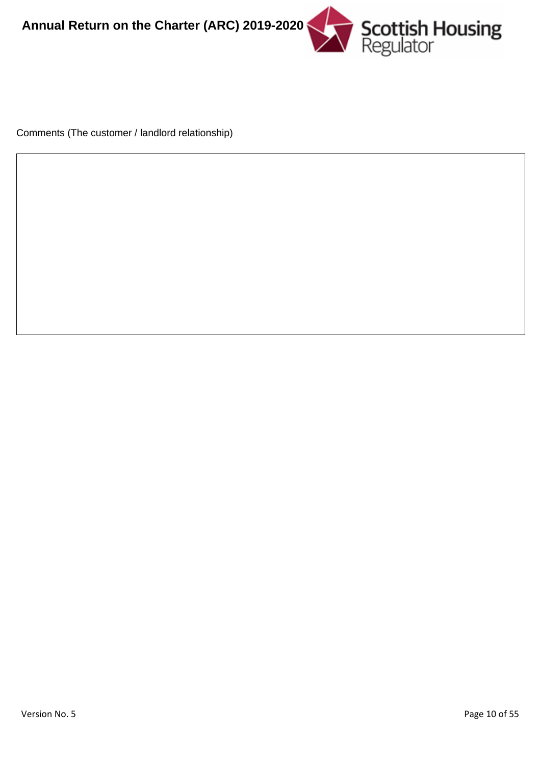

Comments (The customer / landlord relationship)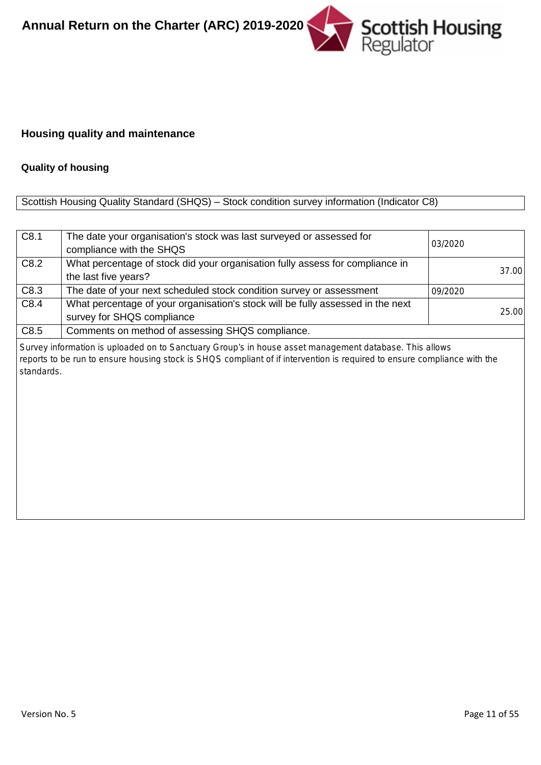

## **Housing quality and maintenance**

#### **Quality of housing**

# Scottish Housing Quality Standard (SHQS) – Stock condition survey information (Indicator C8)

| C8.1       | The date your organisation's stock was last surveyed or assessed for<br>compliance with the SHQS                                                                                                                                   | 03/2020 |
|------------|------------------------------------------------------------------------------------------------------------------------------------------------------------------------------------------------------------------------------------|---------|
| C8.2       | What percentage of stock did your organisation fully assess for compliance in<br>the last five years?                                                                                                                              | 37.00   |
| C8.3       | The date of your next scheduled stock condition survey or assessment                                                                                                                                                               | 09/2020 |
| C8.4       | What percentage of your organisation's stock will be fully assessed in the next<br>survey for SHQS compliance                                                                                                                      | 25.00   |
| C8.5       | Comments on method of assessing SHQS compliance.                                                                                                                                                                                   |         |
| standards. | Survey information is uploaded on to Sanctuary Group's in house asset management database. This allows<br>reports to be run to ensure housing stock is SHQS compliant of if intervention is required to ensure compliance with the |         |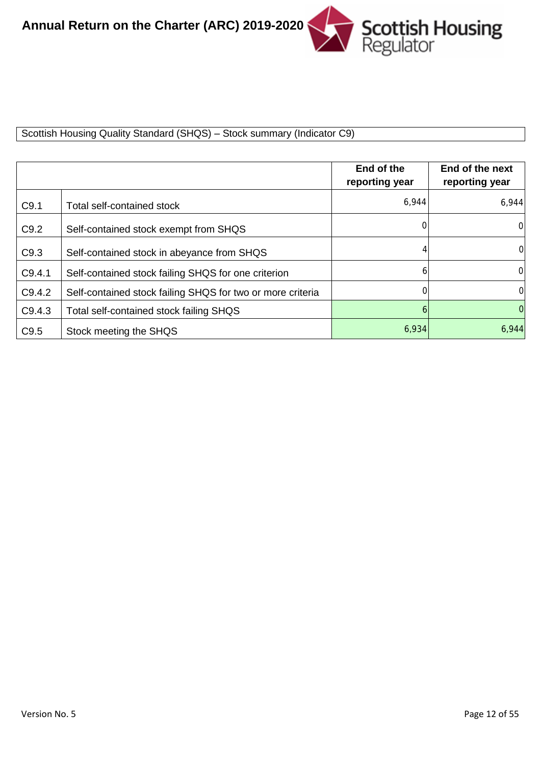

Scottish Housing Quality Standard (SHQS) – Stock summary (Indicator C9)

|        |                                                            | End of the<br>reporting year | End of the next<br>reporting year |
|--------|------------------------------------------------------------|------------------------------|-----------------------------------|
| C9.1   | Total self-contained stock                                 | 6,944                        | 6,944                             |
| C9.2   | Self-contained stock exempt from SHQS                      | $\Omega$                     | $\Omega$                          |
| C9.3   | Self-contained stock in abeyance from SHQS                 |                              | $\overline{0}$                    |
| C9.4.1 | Self-contained stock failing SHQS for one criterion        | 6                            | $\Omega$                          |
| C9.4.2 | Self-contained stock failing SHQS for two or more criteria | 0                            | $\Omega$                          |
| C9.4.3 | Total self-contained stock failing SHQS                    | 6                            | $\Omega$                          |
| C9.5   | Stock meeting the SHQS                                     | 6,934                        | 6,944                             |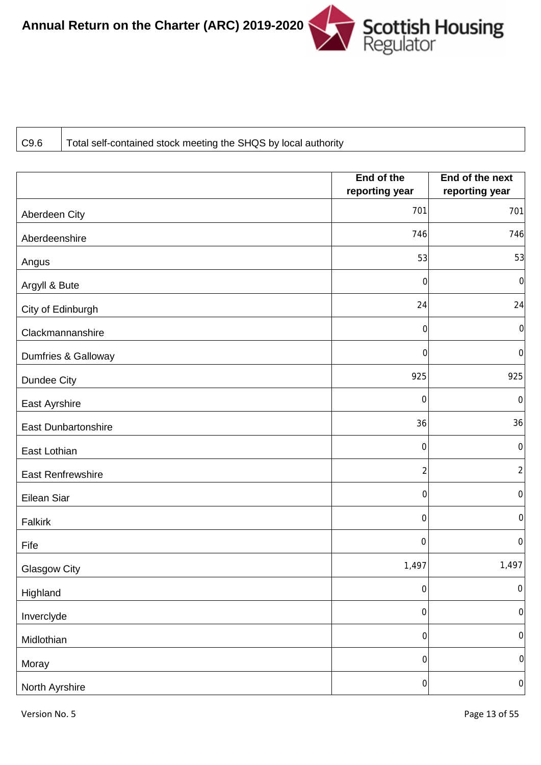

C9.6 Total self-contained stock meeting the SHQS by local authority

|                            | End of the       | End of the next  |
|----------------------------|------------------|------------------|
|                            | reporting year   | reporting year   |
| Aberdeen City              | 701              | 701              |
| Aberdeenshire              | 746              | 746              |
| Angus                      | 53               | 53               |
| Argyll & Bute              | $\overline{0}$   | $\boldsymbol{0}$ |
| City of Edinburgh          | 24               | 24               |
| Clackmannanshire           | 0                | $\boldsymbol{0}$ |
| Dumfries & Galloway        | $\overline{0}$   | $\boldsymbol{0}$ |
| Dundee City                | 925              | 925              |
| East Ayrshire              | $\boldsymbol{0}$ | $\boldsymbol{0}$ |
| <b>East Dunbartonshire</b> | 36               | 36               |
| East Lothian               | $\boldsymbol{0}$ | $\boldsymbol{0}$ |
| East Renfrewshire          | $\overline{c}$   | $\overline{c}$   |
| Eilean Siar                | $\mathbf 0$      | $\boldsymbol{0}$ |
| Falkirk                    | $\boldsymbol{0}$ | $\boldsymbol{0}$ |
| Fife                       | $\boldsymbol{0}$ | $\,0\,$          |
| <b>Glasgow City</b>        | 1,497            | 1,497            |
| Highland                   | $\mbox{O}$       | $\boldsymbol{0}$ |
| Inverclyde                 | $\boldsymbol{0}$ | $\mbox{O}$       |
| Midlothian                 | $\mathbf 0$      | $\mbox{O}$       |
| Moray                      | $\mathbf 0$      | $\boldsymbol{0}$ |
| North Ayrshire             | $\boldsymbol{0}$ | $\mathbf 0$      |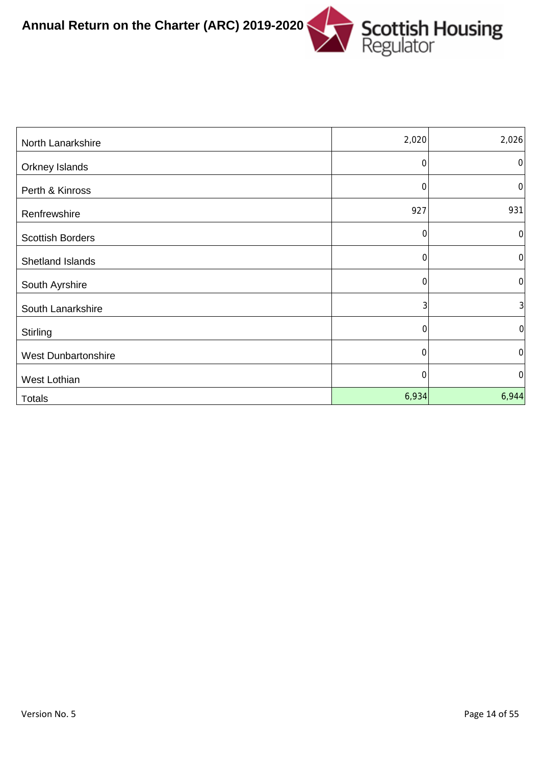

| North Lanarkshire          | 2,020       | 2,026            |
|----------------------------|-------------|------------------|
| Orkney Islands             | $\mathbf 0$ | $\mathbf 0$      |
| Perth & Kinross            | $\Omega$    | $\mathbf 0$      |
| Renfrewshire               | 927         | 931              |
| <b>Scottish Borders</b>    | $\Omega$    | $\overline{0}$   |
| Shetland Islands           | $\mathbf 0$ | $\boldsymbol{0}$ |
| South Ayrshire             | 0           | $\mathbf 0$      |
| South Lanarkshire          | 3           | $\overline{3}$   |
| Stirling                   | 0           | $\mathbf 0$      |
| <b>West Dunbartonshire</b> | 0           | 0                |
| West Lothian               | 0           | $\overline{0}$   |
| <b>Totals</b>              | 6,934       | 6,944            |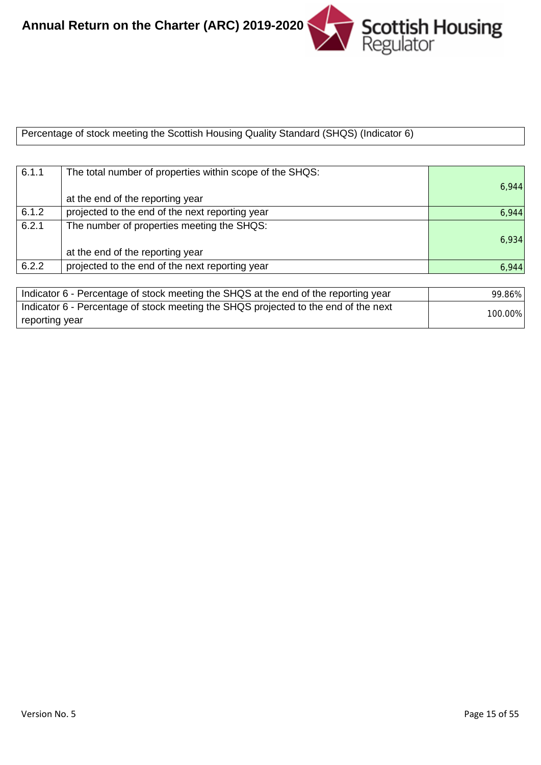

Percentage of stock meeting the Scottish Housing Quality Standard (SHQS) (Indicator 6)

| 6.1.1 | The total number of properties within scope of the SHQS:                            |        |
|-------|-------------------------------------------------------------------------------------|--------|
|       |                                                                                     | 6,944  |
|       | at the end of the reporting year                                                    |        |
| 6.1.2 | projected to the end of the next reporting year                                     | 6,944  |
| 6.2.1 | The number of properties meeting the SHQS:                                          |        |
|       |                                                                                     | 6,934  |
|       | at the end of the reporting year                                                    |        |
| 6.2.2 | projected to the end of the next reporting year                                     | 6,944  |
|       |                                                                                     |        |
|       | Indicator 6 - Percentage of stock meeting the SHQS at the end of the reporting year | 99.86% |
|       | Indicator 6 - Percentage of stock meeting the SHQS projected to the end of the next | 100000 |

reporting year

100.00%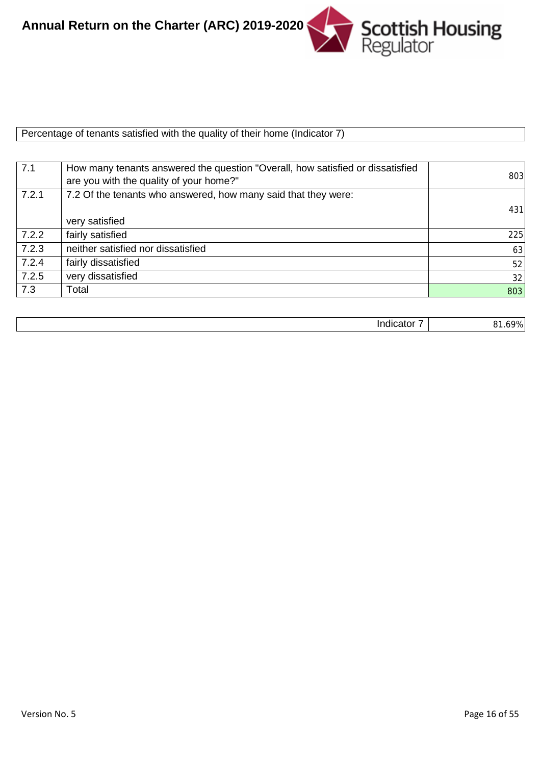

Percentage of tenants satisfied with the quality of their home (Indicator 7)

| 7.1   | How many tenants answered the question "Overall, how satisfied or dissatisfied<br>are you with the quality of your home?" | 803 |
|-------|---------------------------------------------------------------------------------------------------------------------------|-----|
| 7.2.1 | 7.2 Of the tenants who answered, how many said that they were:                                                            |     |
|       |                                                                                                                           | 431 |
|       | very satisfied                                                                                                            |     |
| 7.2.2 | fairly satisfied                                                                                                          | 225 |
| 7.2.3 | neither satisfied nor dissatisfied                                                                                        | 63  |
| 7.2.4 | fairly dissatisfied                                                                                                       | 52  |
| 7.2.5 | very dissatisfied                                                                                                         | 32  |
| 7.3   | Total                                                                                                                     | 803 |

|--|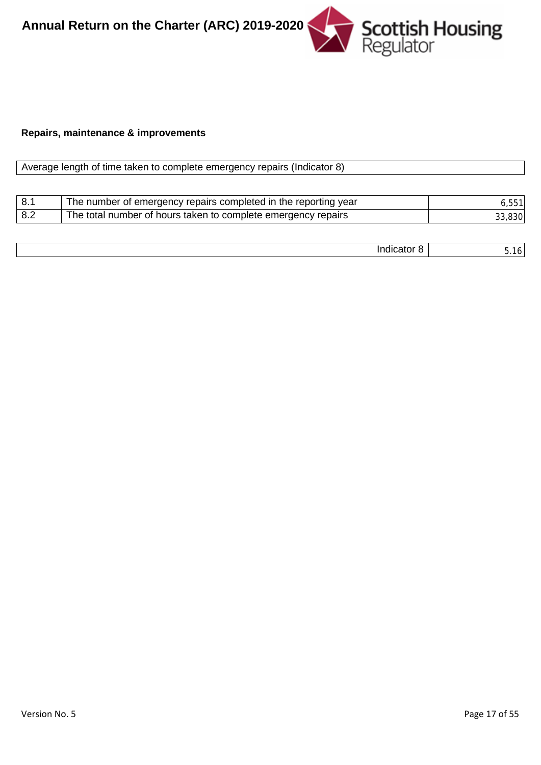Scottish Housing **Annual Return on the Charter (ARC) 2019-2020**

#### **Repairs, maintenance & improvements**

| Average length of time taken to complete emergency repairs (Indicator 8) |                                                                 |        |
|--------------------------------------------------------------------------|-----------------------------------------------------------------|--------|
|                                                                          |                                                                 |        |
| 8.1                                                                      | The number of emergency repairs completed in the reporting year | 6.551  |
| 8.2                                                                      | The total number of hours taken to complete emergency repairs   | 33,830 |

| . |  |
|---|--|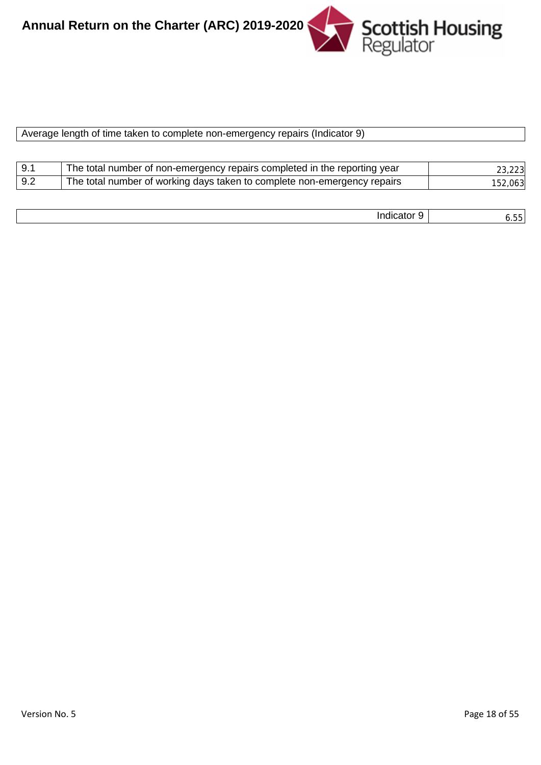

| Average length of time taken to complete non-emergency repairs (Indicator 9) |  |  |
|------------------------------------------------------------------------------|--|--|
|                                                                              |  |  |

| 9.1 | The total number of non-emergency repairs completed in the reporting year | 23,223  |
|-----|---------------------------------------------------------------------------|---------|
| 9.2 | The total number of working days taken to complete non-emergency repairs  | 152,063 |

| . | $\overline{\phantom{a}}$ |
|---|--------------------------|
|---|--------------------------|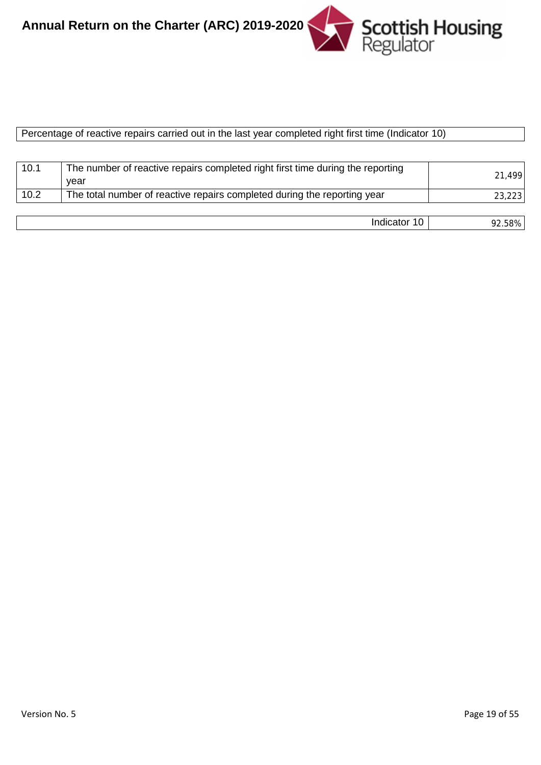

|  | Percentage of reactive repairs carried out in the last year completed right first time (Indicator 10) |  |
|--|-------------------------------------------------------------------------------------------------------|--|
|  |                                                                                                       |  |

| 10.1 | The number of reactive repairs completed right first time during the reporting<br>vear | 21,499 |
|------|----------------------------------------------------------------------------------------|--------|
| 10.2 | The total number of reactive repairs completed during the reporting year               | 23,223 |
|      |                                                                                        |        |
|      | Indicator 10                                                                           | 92.58% |

| Version No. 5 |  |
|---------------|--|
|               |  |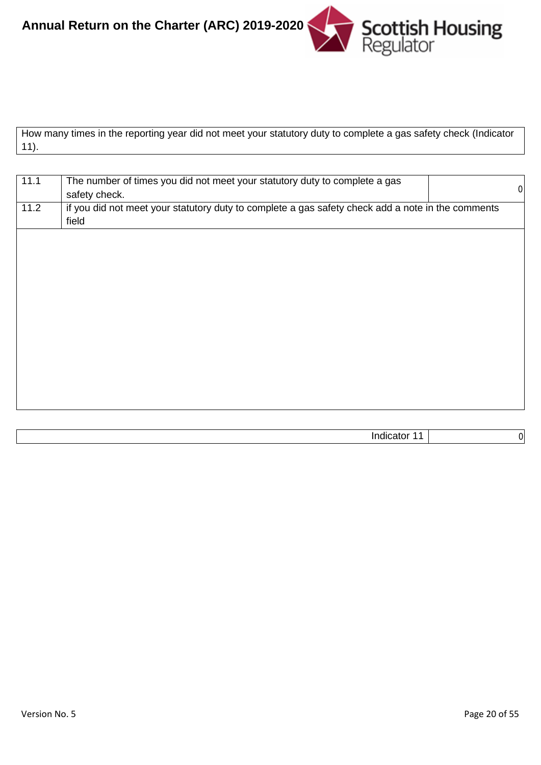

How many times in the reporting year did not meet your statutory duty to complete a gas safety check (Indicator 11).

| 11.1 | The number of times you did not meet your statutory duty to complete a gas                        |                  |
|------|---------------------------------------------------------------------------------------------------|------------------|
|      | safety check.                                                                                     | $\boldsymbol{0}$ |
| 11.2 | if you did not meet your statutory duty to complete a gas safety check add a note in the comments |                  |
|      | field                                                                                             |                  |
|      |                                                                                                   |                  |
|      |                                                                                                   |                  |
|      |                                                                                                   |                  |
|      |                                                                                                   |                  |
|      |                                                                                                   |                  |
|      |                                                                                                   |                  |
|      |                                                                                                   |                  |
|      |                                                                                                   |                  |
|      |                                                                                                   |                  |
|      |                                                                                                   |                  |
|      |                                                                                                   |                  |
|      |                                                                                                   |                  |
|      |                                                                                                   |                  |
|      |                                                                                                   |                  |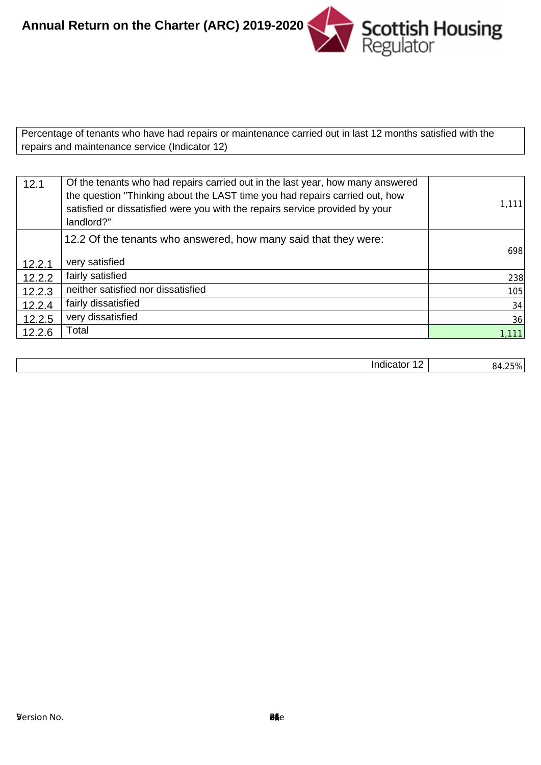**Scottish Housing**<br>Regulator **Annual Return on the Charter (ARC) 2019-2020**

Percentage of tenants who have had repairs or maintenance carried out in last 12 months satisfied with the repairs and maintenance service (Indicator 12)

| 12.1   | Of the tenants who had repairs carried out in the last year, how many answered<br>the question "Thinking about the LAST time you had repairs carried out, how<br>satisfied or dissatisfied were you with the repairs service provided by your<br>landlord?" | 1,111  |
|--------|-------------------------------------------------------------------------------------------------------------------------------------------------------------------------------------------------------------------------------------------------------------|--------|
|        | 12.2 Of the tenants who answered, how many said that they were:                                                                                                                                                                                             |        |
| 12.2.1 | very satisfied                                                                                                                                                                                                                                              | 698    |
| 12.2.2 | fairly satisfied                                                                                                                                                                                                                                            | 238    |
| 12.2.3 | neither satisfied nor dissatisfied                                                                                                                                                                                                                          | 105    |
| 12.2.4 | fairly dissatisfied                                                                                                                                                                                                                                         | 34     |
| 12.2.5 | very dissatisfied                                                                                                                                                                                                                                           | 36     |
| 12.2.6 | Total                                                                                                                                                                                                                                                       | 1,111  |
|        |                                                                                                                                                                                                                                                             |        |
|        | Indicator 12                                                                                                                                                                                                                                                | 84.25% |

| 84.25 |
|-------|
|       |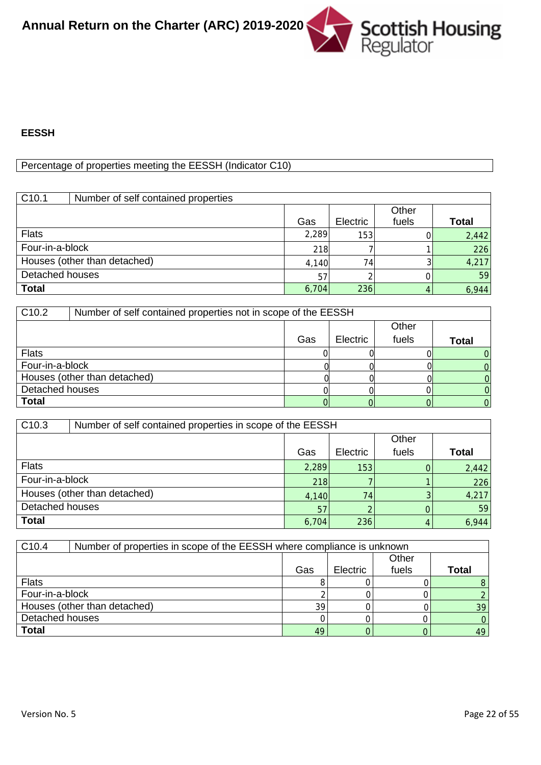

#### **EESSH**

# Percentage of properties meeting the EESSH (Indicator C10)

| C <sub>10.1</sub> | Number of self contained properties |       |          |                |       |
|-------------------|-------------------------------------|-------|----------|----------------|-------|
|                   |                                     | Gas   | Electric | Other<br>fuels | Total |
| <b>Flats</b>      |                                     | 2,289 | 153      |                | 2,442 |
| Four-in-a-block   |                                     | 218   |          |                | 226   |
|                   | Houses (other than detached)        | 4,140 | 74       |                | 4,217 |
| Detached houses   |                                     | 57    |          |                | 59    |
| <b>Total</b>      |                                     | 6,704 | 236      |                | 6,944 |

| C <sub>10.2</sub> | Number of self contained properties not in scope of the EESSH |     |          |       |       |
|-------------------|---------------------------------------------------------------|-----|----------|-------|-------|
|                   |                                                               |     |          | Other |       |
|                   |                                                               | Gas | Electric | fuels | Total |
| <b>Flats</b>      |                                                               |     |          |       |       |
| Four-in-a-block   |                                                               |     |          |       |       |
|                   | Houses (other than detached)                                  |     |          |       |       |
| Detached houses   |                                                               |     |          |       |       |
| <b>Total</b>      |                                                               |     |          |       |       |

| C <sub>10.3</sub> | Number of self contained properties in scope of the EESSH |       |          |       |              |
|-------------------|-----------------------------------------------------------|-------|----------|-------|--------------|
| Other             |                                                           |       |          |       |              |
|                   |                                                           | Gas   | Electric | fuels | <b>Total</b> |
| <b>Flats</b>      |                                                           | 2,289 | 153      |       | 2,442        |
| Four-in-a-block   |                                                           | 218   |          |       | 226          |
|                   | Houses (other than detached)                              | 4,140 | 74       |       | 4,217        |
| Detached houses   |                                                           | 57    |          |       | 59           |
| <b>Total</b>      |                                                           | 6,704 | 236      |       | 6,944        |

| C <sub>10.4</sub> | Number of properties in scope of the EESSH where compliance is unknown |     |                 |       |       |
|-------------------|------------------------------------------------------------------------|-----|-----------------|-------|-------|
|                   |                                                                        |     |                 | Other |       |
|                   |                                                                        | Gas | <b>Electric</b> | fuels | Total |
| <b>Flats</b>      |                                                                        |     |                 |       |       |
| Four-in-a-block   |                                                                        |     |                 |       |       |
|                   | Houses (other than detached)                                           | 39  |                 |       | 39    |
| Detached houses   |                                                                        |     |                 |       |       |
| <b>Total</b>      |                                                                        | 49  |                 |       | 49    |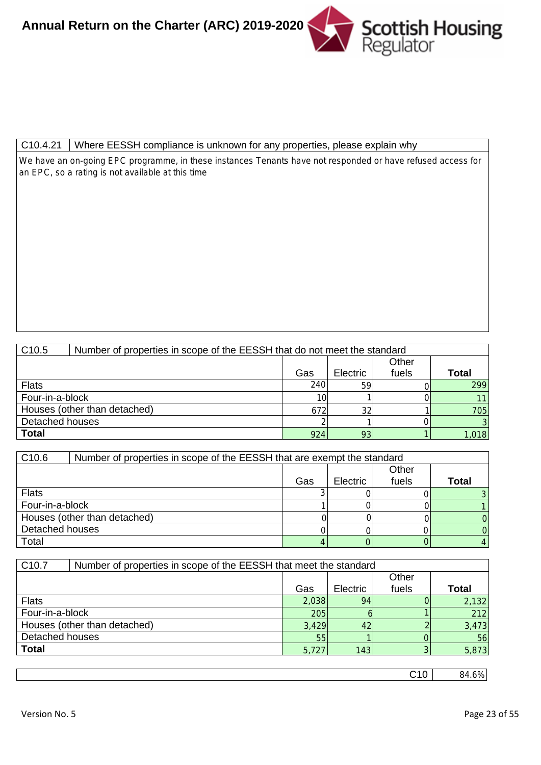

#### C10.4.21 | Where EESSH compliance is unknown for any properties, please explain why

We have an on-going EPC programme, in these instances Tenants have not responded or have refused access for an EPC, so a rating is not available at this time

| C <sub>10.5</sub> | Number of properties in scope of the EESSH that do not meet the standard |                 |                 |       |                |
|-------------------|--------------------------------------------------------------------------|-----------------|-----------------|-------|----------------|
|                   |                                                                          |                 |                 | Other |                |
|                   |                                                                          | Gas             | <b>Electric</b> | fuels | Total          |
| <b>Flats</b>      |                                                                          | 240             | 59              |       | 299            |
| Four-in-a-block   |                                                                          | 10 <sub>l</sub> |                 |       | 11             |
|                   | Houses (other than detached)                                             | 672             | 32              |       | 705            |
| Detached houses   |                                                                          |                 |                 |       | $\overline{3}$ |
| <b>Total</b>      |                                                                          | 924             | 93              |       | 1,018          |

| C <sub>10.6</sub> | Number of properties in scope of the EESSH that are exempt the standard |     |          |       |              |
|-------------------|-------------------------------------------------------------------------|-----|----------|-------|--------------|
|                   |                                                                         |     |          | Other |              |
|                   |                                                                         | Gas | Electric | fuels | <b>Total</b> |
| <b>Flats</b>      |                                                                         |     |          |       |              |
| Four-in-a-block   |                                                                         |     |          |       |              |
|                   | Houses (other than detached)                                            |     |          |       |              |
| Detached houses   |                                                                         |     |          |       |              |
| Total             |                                                                         |     |          |       |              |

| C <sub>10.7</sub> | Number of properties in scope of the EESSH that meet the standard |       |          |       |       |
|-------------------|-------------------------------------------------------------------|-------|----------|-------|-------|
|                   |                                                                   |       |          | Other |       |
|                   |                                                                   | Gas   | Electric | fuels | Total |
| <b>Flats</b>      |                                                                   | 2,038 | 94       |       | 2,132 |
| Four-in-a-block   |                                                                   | 205   |          |       | 212   |
|                   | Houses (other than detached)                                      | 3,429 | 42       |       | 3,473 |
| Detached houses   |                                                                   | 55    |          |       | 56    |
| <b>Total</b>      |                                                                   | 5,727 | 143      |       | 5,873 |

C10 84.6%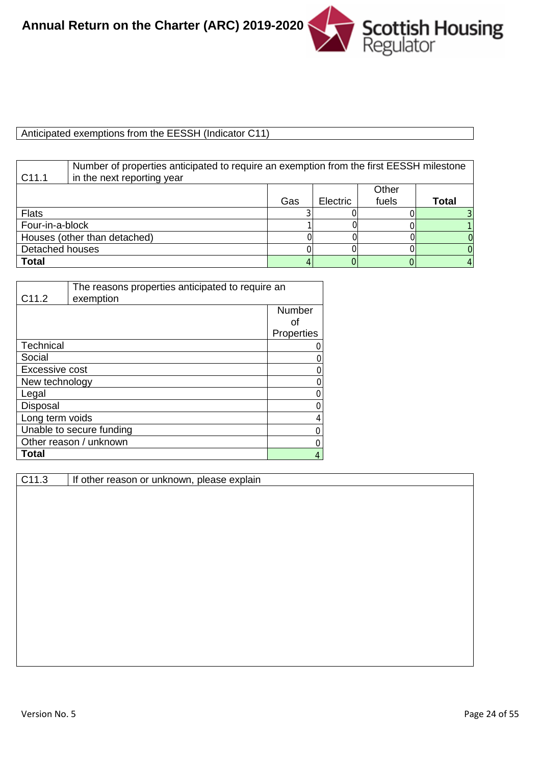# Anticipated exemptions from the EESSH (Indicator C11)

| C <sub>11.1</sub> | Number of properties anticipated to require an exemption from the first EESSH milestone<br>in the next reporting year |     |          |       |       |
|-------------------|-----------------------------------------------------------------------------------------------------------------------|-----|----------|-------|-------|
|                   |                                                                                                                       |     |          | Other |       |
|                   |                                                                                                                       | Gas | Electric | fuels | Total |
| <b>Flats</b>      |                                                                                                                       |     |          |       |       |
| Four-in-a-block   |                                                                                                                       |     |          |       |       |
|                   | Houses (other than detached)                                                                                          |     |          |       |       |
| Detached houses   |                                                                                                                       |     |          |       |       |
| <b>Total</b>      |                                                                                                                       |     |          |       |       |

| C <sub>11.2</sub>     | The reasons properties anticipated to require an<br>exemption |            |
|-----------------------|---------------------------------------------------------------|------------|
|                       |                                                               | Number     |
|                       |                                                               | Ωf         |
|                       |                                                               | Properties |
| Technical             |                                                               |            |
| Social                |                                                               |            |
| <b>Excessive cost</b> |                                                               |            |
| New technology        |                                                               | Ω          |
| Legal                 |                                                               |            |
| Disposal              |                                                               | 0          |
| Long term voids       |                                                               | 4          |
|                       | Unable to secure funding                                      |            |
|                       | Other reason / unknown                                        |            |
| Total                 |                                                               |            |

C11.3 | If other reason or unknown, please explain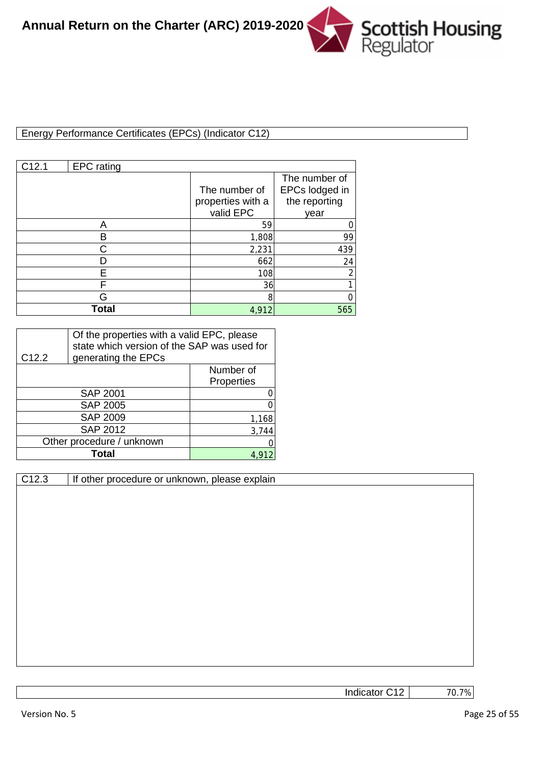

## Energy Performance Certificates (EPCs) (Indicator C12)

| C12.1 | <b>EPC</b> rating |                                                 |                                                          |
|-------|-------------------|-------------------------------------------------|----------------------------------------------------------|
|       |                   | The number of<br>properties with a<br>valid EPC | The number of<br>EPCs lodged in<br>the reporting<br>year |
|       |                   | 59                                              |                                                          |
|       | в                 | 1,808                                           | 99                                                       |
|       |                   | 2,231                                           | 439                                                      |
|       |                   | 662                                             | 24                                                       |
|       | F                 | 108                                             | ∍                                                        |
|       | F                 | 36                                              |                                                          |
|       | G                 | 8                                               |                                                          |
|       | Total             | 4.912                                           | 565                                                      |

| C <sub>12.2</sub> | Of the properties with a valid EPC, please<br>state which version of the SAP was used for<br>generating the EPCs |            |  |
|-------------------|------------------------------------------------------------------------------------------------------------------|------------|--|
|                   |                                                                                                                  | Number of  |  |
|                   |                                                                                                                  | Properties |  |
|                   | <b>SAP 2001</b>                                                                                                  |            |  |
|                   | <b>SAP 2005</b>                                                                                                  |            |  |
|                   | <b>SAP 2009</b>                                                                                                  | 1,168      |  |
|                   | <b>SAP 2012</b>                                                                                                  | 3,744      |  |
|                   | Other procedure / unknown                                                                                        |            |  |
|                   | Total                                                                                                            |            |  |

| C12.3 | If other p |  |
|-------|------------|--|
|       |            |  |

rocedure or unknown, please explain

Indicator C12

70.7%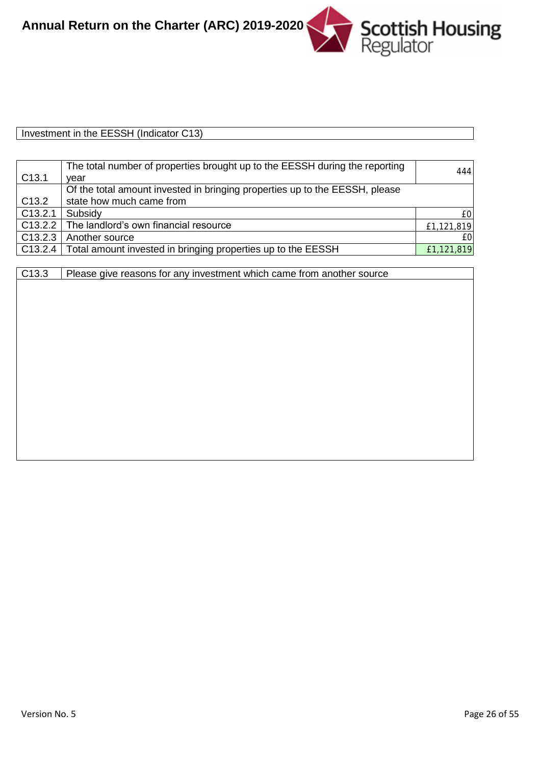

| Investment in the EESSH<br>וני ו<br>.<br>тноісают<br>، ت ا |  |
|------------------------------------------------------------|--|

|                     | The total number of properties brought up to the EESSH during the reporting | 444        |
|---------------------|-----------------------------------------------------------------------------|------------|
| C <sub>13.1</sub>   | vear                                                                        |            |
|                     | Of the total amount invested in bringing properties up to the EESSH, please |            |
| C <sub>13.2</sub>   | state how much came from                                                    |            |
| C <sub>13.2.1</sub> | Subsidy                                                                     | £0         |
|                     | C13.2.2   The landlord's own financial resource                             | £1,121,819 |
| C13.2.3             | Another source                                                              | £0         |
|                     | C13.2.4   Total amount invested in bringing properties up to the EESSH      | £1,121,819 |

| C <sub>13.3</sub> | Please give reasons for any investment which came from another source |  |
|-------------------|-----------------------------------------------------------------------|--|
|                   |                                                                       |  |
|                   |                                                                       |  |
|                   |                                                                       |  |
|                   |                                                                       |  |
|                   |                                                                       |  |
|                   |                                                                       |  |
|                   |                                                                       |  |
|                   |                                                                       |  |
|                   |                                                                       |  |
|                   |                                                                       |  |
|                   |                                                                       |  |
|                   |                                                                       |  |
|                   |                                                                       |  |
|                   |                                                                       |  |
|                   |                                                                       |  |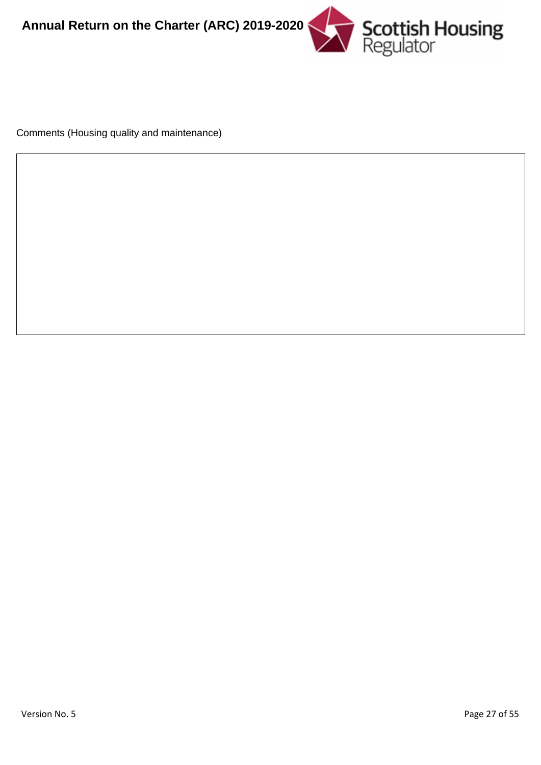

Comments (Housing quality and maintenance)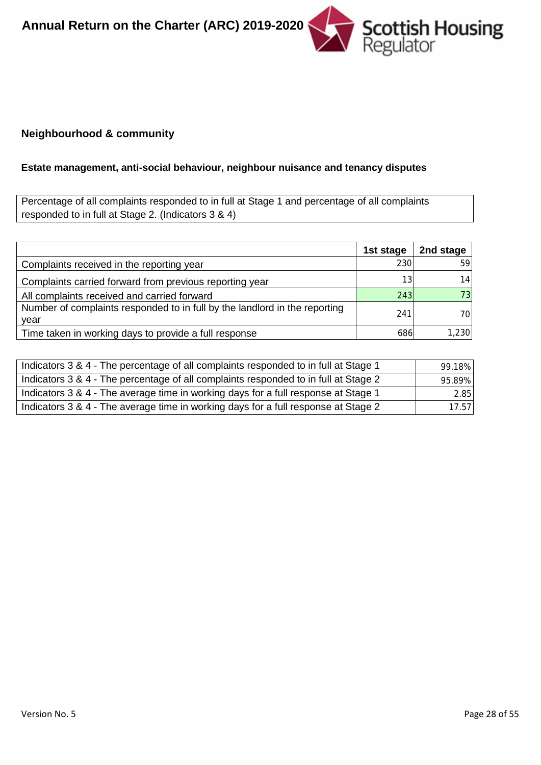

#### **Neighbourhood & community**

# **Estate management, anti-social behaviour, neighbour nuisance and tenancy disputes**

Percentage of all complaints responded to in full at Stage 1 and percentage of all complaints responded to in full at Stage 2. (Indicators 3 & 4)

|                                                                                    | 1st stage | 2nd stage |
|------------------------------------------------------------------------------------|-----------|-----------|
| Complaints received in the reporting year                                          | 230       | 59        |
| Complaints carried forward from previous reporting year                            | 13        | 14        |
| All complaints received and carried forward                                        | 243       | 73        |
| Number of complaints responded to in full by the landlord in the reporting<br>vear | 241       | 701       |
| Time taken in working days to provide a full response                              | 686       | 1,230     |

| Indicators 3 & 4 - The percentage of all complaints responded to in full at Stage 1 | 99.18% |
|-------------------------------------------------------------------------------------|--------|
| Indicators 3 & 4 - The percentage of all complaints responded to in full at Stage 2 | 95.89% |
| Indicators 3 & 4 - The average time in working days for a full response at Stage 1  | 2.85   |
| Indicators 3 & 4 - The average time in working days for a full response at Stage 2  | 17.57  |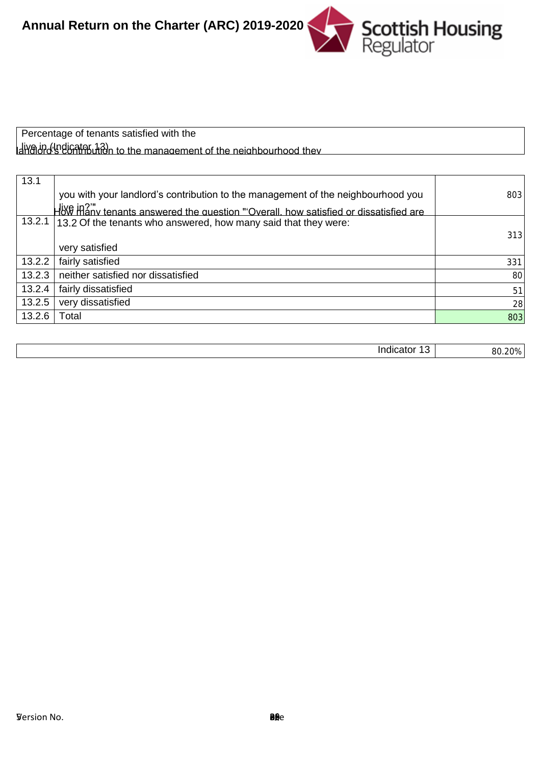

Percentage of tenants satisfied with the landlord's contribution to the management of the neighbourhood they live in (Indicator 13)

| 13.1   | How many tenants answered the question "'Overall, how satisfied or dissatisfied are<br>you with your landlord's contribution to the management of the neighbourhood you<br>live in?" | 803    |
|--------|--------------------------------------------------------------------------------------------------------------------------------------------------------------------------------------|--------|
|        | 13.2.1 13.2 Of the tenants who answered, how many said that they were:                                                                                                               |        |
|        | very satisfied                                                                                                                                                                       | 313    |
| 13.2.2 | fairly satisfied                                                                                                                                                                     | 331    |
| 13.2.3 | neither satisfied nor dissatisfied                                                                                                                                                   | 80     |
| 13.2.4 | fairly dissatisfied                                                                                                                                                                  | 51     |
| 13.2.5 | very dissatisfied                                                                                                                                                                    | 28     |
| 13.2.6 | Total                                                                                                                                                                                | 803    |
|        |                                                                                                                                                                                      |        |
|        | Indicator 13                                                                                                                                                                         | 80.20% |

| <br>----<br>аюг<br>ш<br>$\cdot$ | √ס∩ר<br>oc<br>าเ |
|---------------------------------|------------------|
|                                 |                  |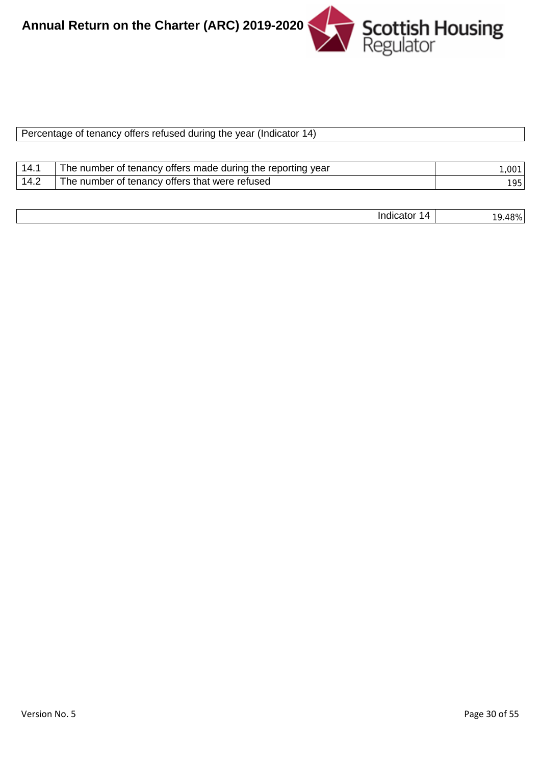

| Percentage of tenancy offers refused during the year (Indicator 14) |
|---------------------------------------------------------------------|
|                                                                     |

|      | The number of tenancy offers made during the reporting year | ៱៱៱ |
|------|-------------------------------------------------------------|-----|
| 14.2 | The number of tenancy offers that were refused              | 951 |

| <br>,,,, |  |
|----------|--|
|          |  |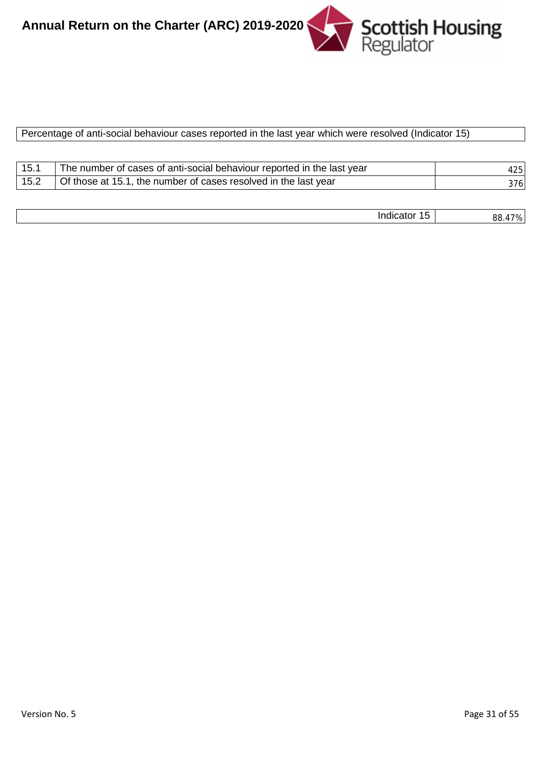

#### Percentage of anti-social behaviour cases reported in the last year which were resolved (Indicator 15)

| 15.1 | The number of cases of anti-social behaviour reported in the last year | 425 |
|------|------------------------------------------------------------------------|-----|
| 15.2 | Of those at 15.1, the number of cases resolved in the last year        | 376 |

| <br>$\sim$<br>nr<br><br>. .<br>u<br>. .<br>n |         |
|----------------------------------------------|---------|
|                                              | $\cdot$ |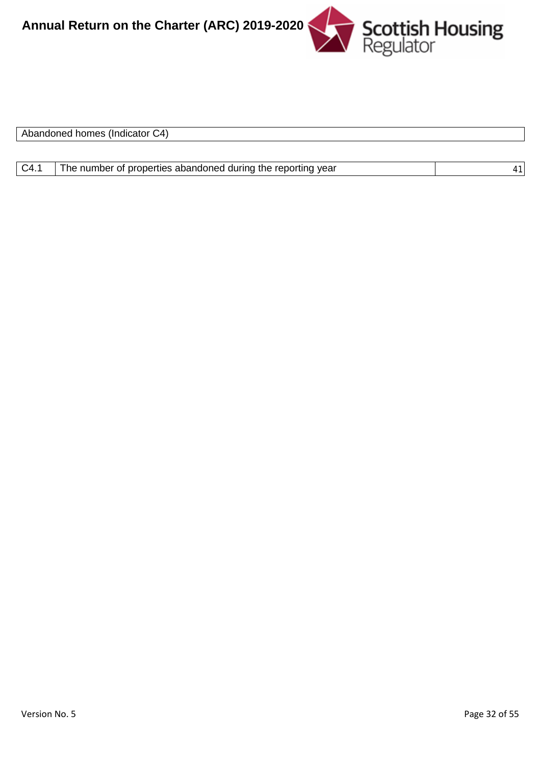

| Abandoned homes<br>-C4)<br><b>Tingicator</b> |  |
|----------------------------------------------|--|
|                                              |  |

| C4.1<br>The number of properties abandoned during the reporting year |  |
|----------------------------------------------------------------------|--|
|----------------------------------------------------------------------|--|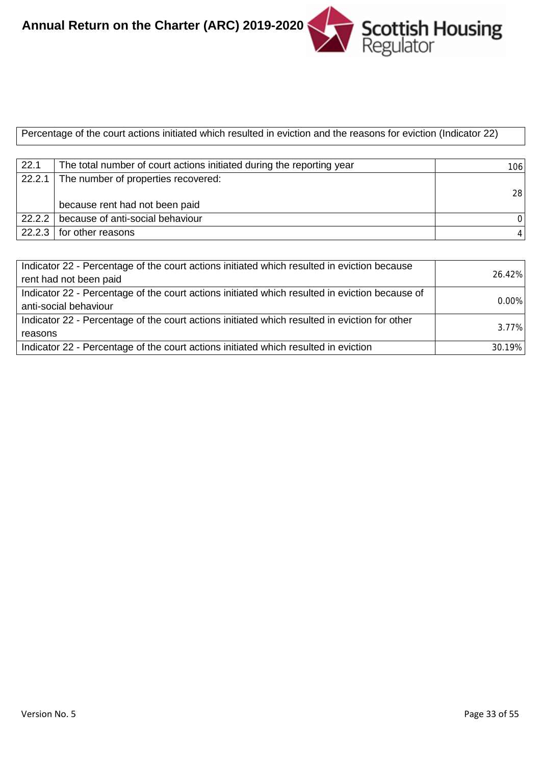

Percentage of the court actions initiated which resulted in eviction and the reasons for eviction (Indicator 22)

| 22.1   | The total number of court actions initiated during the reporting year | 106  |
|--------|-----------------------------------------------------------------------|------|
| 22.2.1 | The number of properties recovered:                                   |      |
|        |                                                                       | 28 l |
|        | because rent had not been paid                                        |      |
|        | 22.2.2   because of anti-social behaviour                             |      |
|        | 22.2.3   for other reasons                                            |      |

| Indicator 22 - Percentage of the court actions initiated which resulted in eviction because<br>rent had not been paid   | 26.42%   |
|-------------------------------------------------------------------------------------------------------------------------|----------|
| Indicator 22 - Percentage of the court actions initiated which resulted in eviction because of<br>anti-social behaviour | $0.00\%$ |
| Indicator 22 - Percentage of the court actions initiated which resulted in eviction for other<br>reasons                | 3.77%    |
| Indicator 22 - Percentage of the court actions initiated which resulted in eviction                                     | 30.19%   |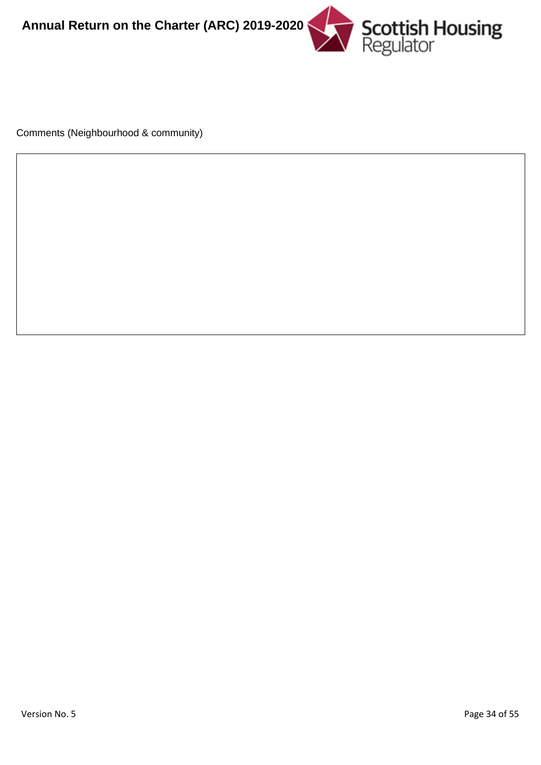

Comments (Neighbourhood & community)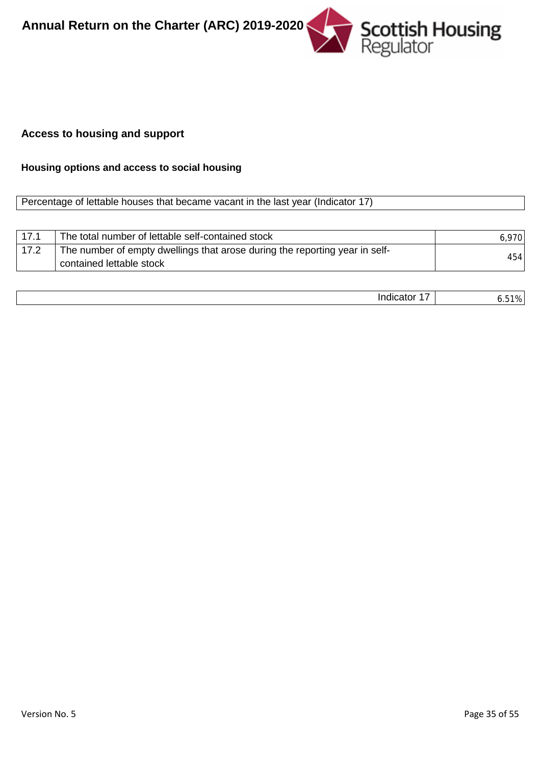

# **Access to housing and support**

# **Housing options and access to social housing**

#### Percentage of lettable houses that became vacant in the last year (Indicator 17)

| 171  | The total number of lettable self-contained stock                                                       | 6.970 |
|------|---------------------------------------------------------------------------------------------------------|-------|
| 17.2 | The number of empty dwellings that arose during the reporting year in self-<br>contained lettable stock | 454   |

|--|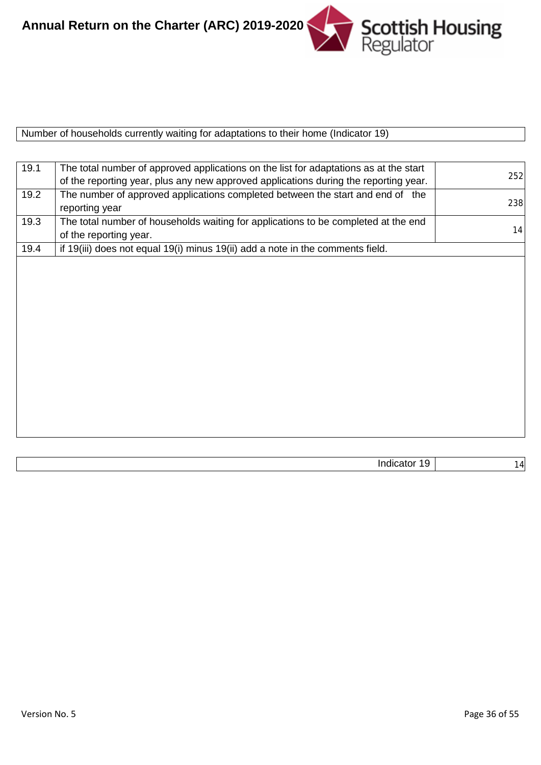

|--|

| 19.1 | The total number of approved applications on the list for adaptations as at the start<br>of the reporting year, plus any new approved applications during the reporting year. | 252 |
|------|-------------------------------------------------------------------------------------------------------------------------------------------------------------------------------|-----|
| 19.2 | The number of approved applications completed between the start and end of the<br>reporting year                                                                              | 238 |
| 19.3 | The total number of households waiting for applications to be completed at the end<br>of the reporting year.                                                                  | 14  |
| 19.4 | if 19(iii) does not equal 19(i) minus 19(ii) add a note in the comments field.                                                                                                |     |
|      |                                                                                                                                                                               |     |
|      |                                                                                                                                                                               |     |
|      |                                                                                                                                                                               |     |
|      |                                                                                                                                                                               |     |
|      |                                                                                                                                                                               |     |
|      |                                                                                                                                                                               |     |
|      |                                                                                                                                                                               |     |
|      |                                                                                                                                                                               |     |
|      |                                                                                                                                                                               |     |
|      |                                                                                                                                                                               |     |
|      |                                                                                                                                                                               |     |
|      |                                                                                                                                                                               |     |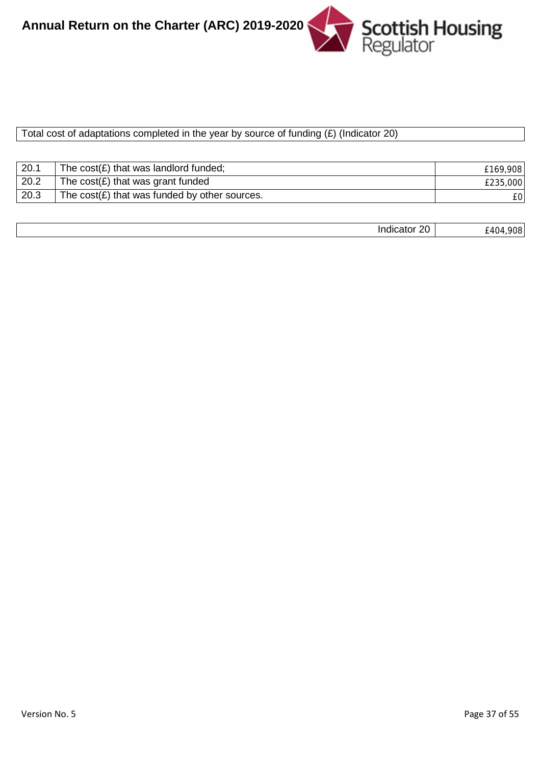

#### Total cost of adaptations completed in the year by source of funding  $(E)$  (Indicator 20)

| 20.1 | The $cost(E)$ that was landlord funded;                  | £169,908 |
|------|----------------------------------------------------------|----------|
| 20.2 | The $cost(E)$ that was grant funded                      | £235,000 |
| 20.3 | The $cost(\mathbf{E})$ that was funded by other sources. | £0       |

| $\cdots$<br>ንበ<br>indicator<br>∼ | nno<br>ı<br>'∪∪<br>᠇៶<br>$ -$<br>$\sim$ $\sim$ |
|----------------------------------|------------------------------------------------|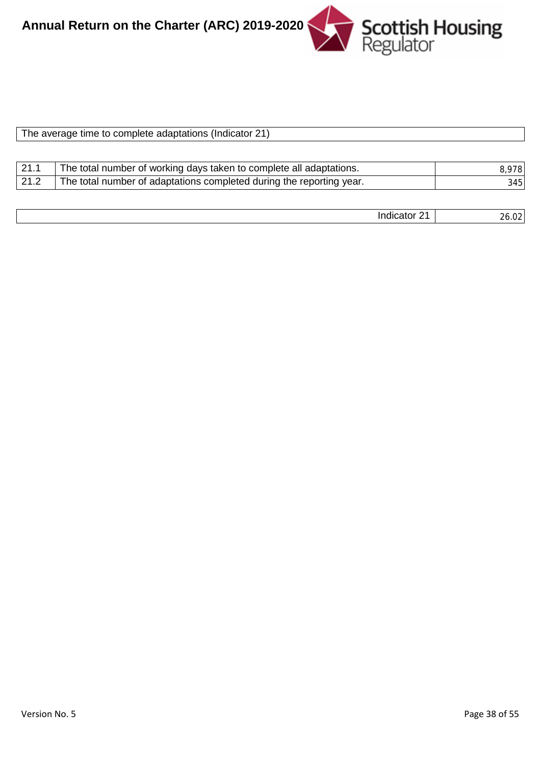

| The average time to complete adaptations (Indicator 21) |  |  |  |
|---------------------------------------------------------|--|--|--|
|                                                         |  |  |  |

| 21.1 | The total number of working days taken to complete all adaptations.  | 8,978 |
|------|----------------------------------------------------------------------|-------|
| 21.2 | The total number of adaptations completed during the reporting year. | 345   |

| . .<br> | $\sim$<br>____ |
|---------|----------------|
|         |                |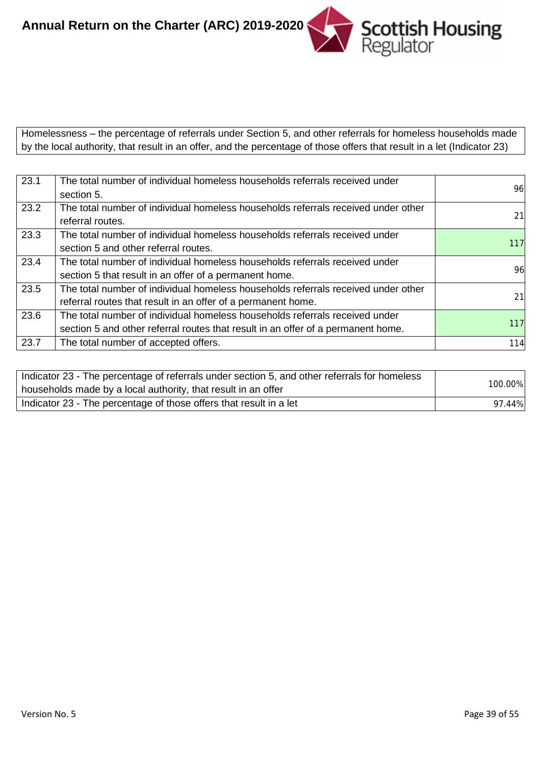

Homelessness – the percentage of referrals under Section 5, and other referrals for homeless households made by the local authority, that result in an offer, and the percentage of those offers that result in a let (Indicator 23)

| 23.1 | The total number of individual homeless households referrals received under       |     |
|------|-----------------------------------------------------------------------------------|-----|
|      | section 5.                                                                        | 96  |
| 23.2 | The total number of individual homeless households referrals received under other |     |
|      | referral routes.                                                                  | 21  |
| 23.3 | The total number of individual homeless households referrals received under       |     |
|      | section 5 and other referral routes.                                              | 117 |
| 23.4 | The total number of individual homeless households referrals received under       |     |
|      | section 5 that result in an offer of a permanent home.                            | 96  |
| 23.5 | The total number of individual homeless households referrals received under other |     |
|      | referral routes that result in an offer of a permanent home.                      | 21  |
| 23.6 | The total number of individual homeless households referrals received under       |     |
|      | section 5 and other referral routes that result in an offer of a permanent home.  | 117 |
| 23.7 | The total number of accepted offers.                                              | 114 |

| Indicator 23 - The percentage of referrals under section 5, and other referrals for homeless<br>households made by a local authority, that result in an offer | 100.00% |
|---------------------------------------------------------------------------------------------------------------------------------------------------------------|---------|
| Indicator 23 - The percentage of those offers that result in a let                                                                                            | 97.44%  |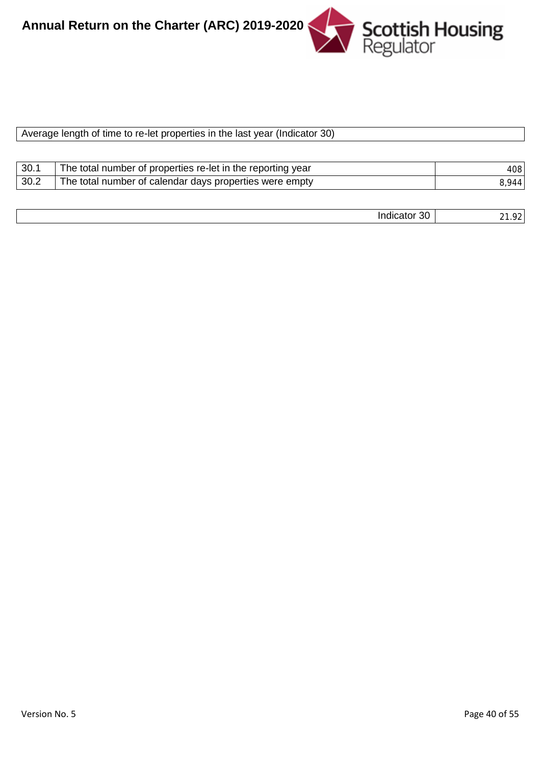

| Average length of time to re-let properties in the last year (Indicator 30) |  |  |
|-----------------------------------------------------------------------------|--|--|

| 30.  | The total number of properties re-let in the reporting year | 408   |
|------|-------------------------------------------------------------|-------|
| 30.2 | The total number of calendar days properties were empty     | 944 I |

| $\cdot$ .<br>$\sim$<br><br>-----<br>Indicator<br>-JU<br>. | $\sim$<br>$\sim$<br>- - |
|-----------------------------------------------------------|-------------------------|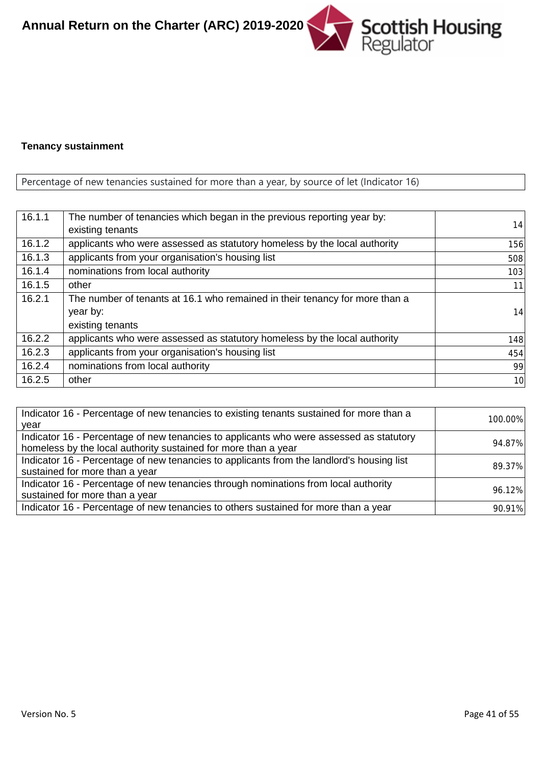

#### **Tenancy sustainment**

# Percentage of new tenancies sustained for more than a year, by source of let (Indicator 16)

| 16.1.1 | The number of tenancies which began in the previous reporting year by:<br>existing tenants                  | 14  |
|--------|-------------------------------------------------------------------------------------------------------------|-----|
| 16.1.2 | applicants who were assessed as statutory homeless by the local authority                                   | 156 |
| 16.1.3 | applicants from your organisation's housing list                                                            | 508 |
| 16.1.4 | nominations from local authority                                                                            | 103 |
| 16.1.5 | other                                                                                                       | 11  |
| 16.2.1 | The number of tenants at 16.1 who remained in their tenancy for more than a<br>year by:<br>existing tenants | 14  |
| 16.2.2 | applicants who were assessed as statutory homeless by the local authority                                   | 148 |
| 16.2.3 | applicants from your organisation's housing list                                                            | 454 |
| 16.2.4 | nominations from local authority                                                                            | 99  |
| 16.2.5 | other                                                                                                       | 10  |

| Indicator 16 - Percentage of new tenancies to existing tenants sustained for more than a  | 100.00% |
|-------------------------------------------------------------------------------------------|---------|
| year                                                                                      |         |
| Indicator 16 - Percentage of new tenancies to applicants who were assessed as statutory   | 94.87%  |
| homeless by the local authority sustained for more than a year                            |         |
| Indicator 16 - Percentage of new tenancies to applicants from the landlord's housing list | 89.37%  |
| sustained for more than a year                                                            |         |
| Indicator 16 - Percentage of new tenancies through nominations from local authority       | 96.12%  |
| sustained for more than a year                                                            |         |
| Indicator 16 - Percentage of new tenancies to others sustained for more than a year       | 90.91%  |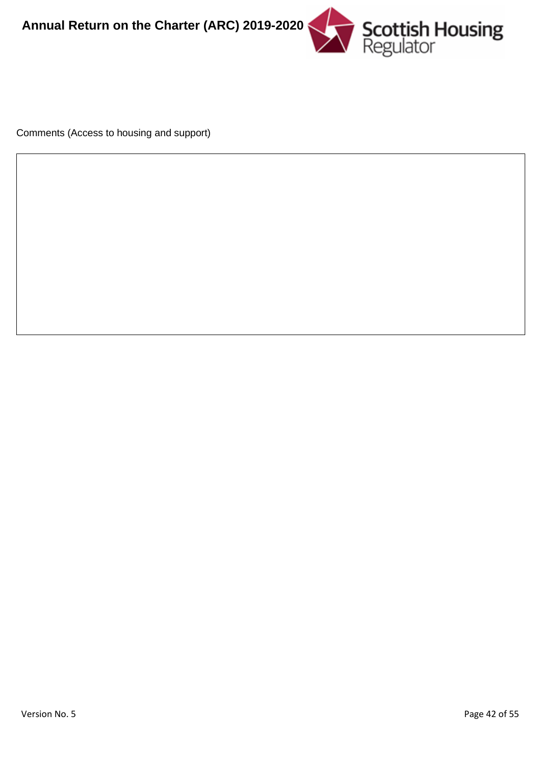

Comments (Access to housing and support)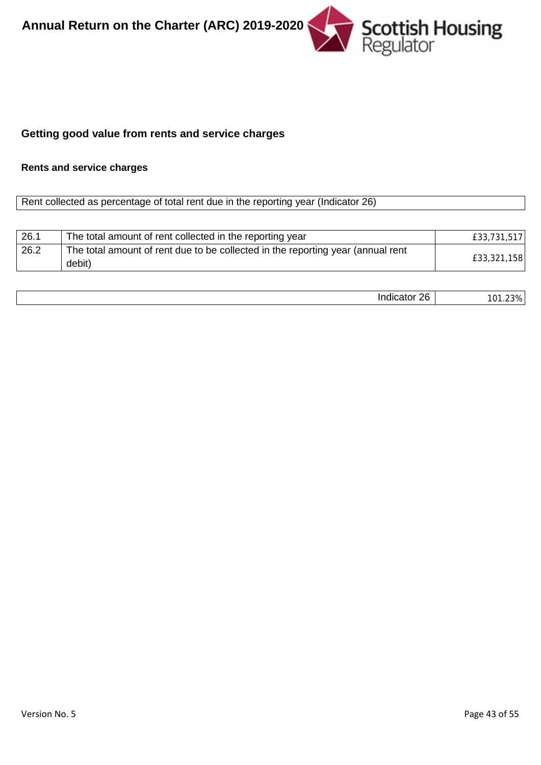

# **Getting good value from rents and service charges**

# **Rents and service charges**

Rent collected as percentage of total rent due in the reporting year (Indicator 26)

| 26.1 | The total amount of rent collected in the reporting year                                  | £33,731,517 |
|------|-------------------------------------------------------------------------------------------|-------------|
| 26.2 | The total amount of rent due to be collected in the reporting year (annual rent<br>debit) | £33,321,158 |

| .<br>., |  |
|---------|--|
|         |  |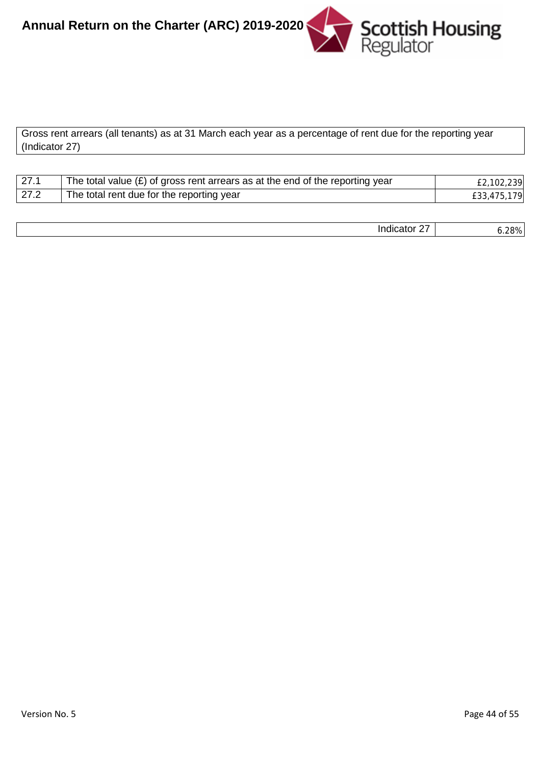

Gross rent arrears (all tenants) as at 31 March each year as a percentage of rent due for the reporting year (Indicator 27)

| $\sqrt{27.1}$ | The total value $(E)$ of gross rent arrears as at the end of the reporting year | £2,102,239  |
|---------------|---------------------------------------------------------------------------------|-------------|
| 27.2          | The total rent due for the reporting year                                       | £33,475,179 |

| <br>$\sim$ $\sim$<br>. <b>.</b><br>indicator<br>. . | າດທ<br>-979<br>0.207 |
|-----------------------------------------------------|----------------------|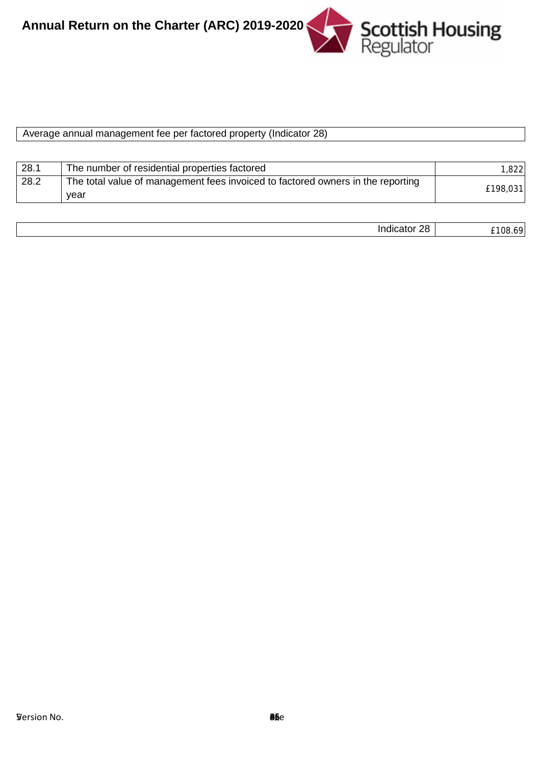

| Average annual management fee per factored property (Indicator 28) |  |
|--------------------------------------------------------------------|--|
|                                                                    |  |
|                                                                    |  |
|                                                                    |  |

| 28.1 | The number of residential properties factored                                   | 1.8221   |
|------|---------------------------------------------------------------------------------|----------|
| 28.2 | The total value of management fees invoiced to factored owners in the reporting |          |
|      | vear                                                                            | £198,031 |

| ററ<br>.<br>Indicato. | 108.<br>$      -$ |
|----------------------|-------------------|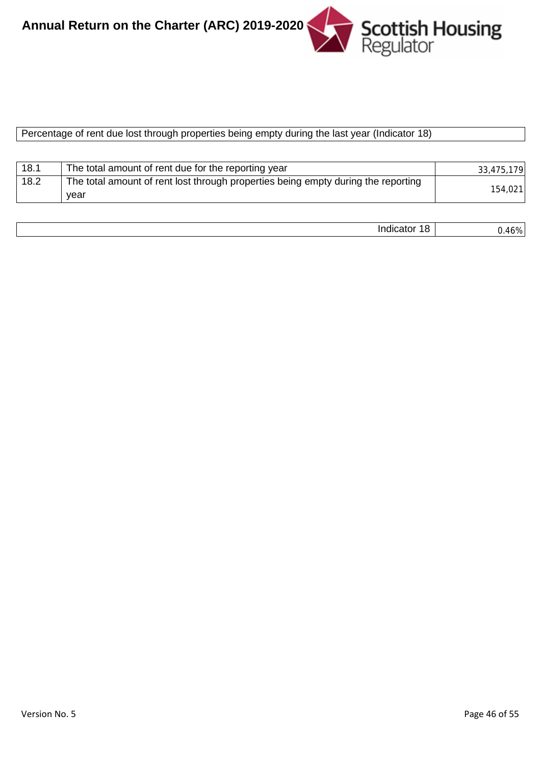

#### Percentage of rent due lost through properties being empty during the last year (Indicator 18)

| 18.1 | The total amount of rent due for the reporting year                               | 33,475,179 |
|------|-----------------------------------------------------------------------------------|------------|
| 18.2 | The total amount of rent lost through properties being empty during the reporting |            |
|      | year                                                                              | 154,021    |

| <br>- 11 |
|----------|
|----------|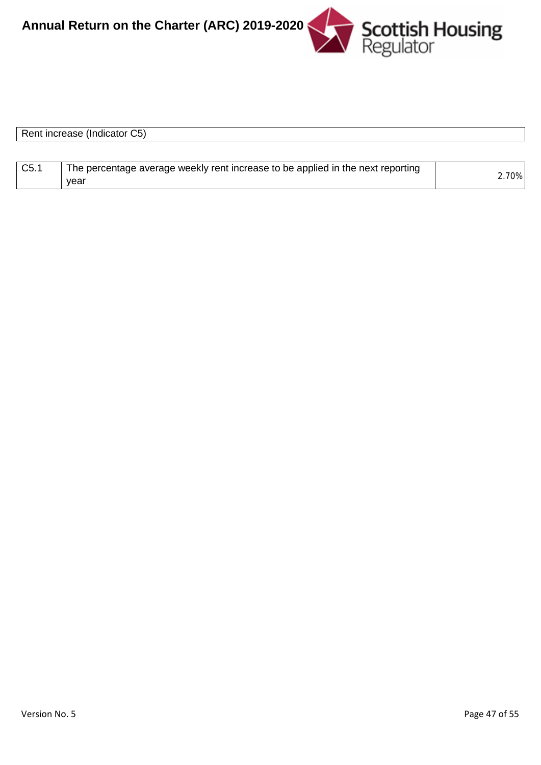

| Rent increase (Indicator C5) |  |  |
|------------------------------|--|--|
|                              |  |  |
|                              |  |  |

| C5.1 | The percentage average weekly rent increase to be applied in the next reporting |       |
|------|---------------------------------------------------------------------------------|-------|
|      | vear                                                                            | 2.70% |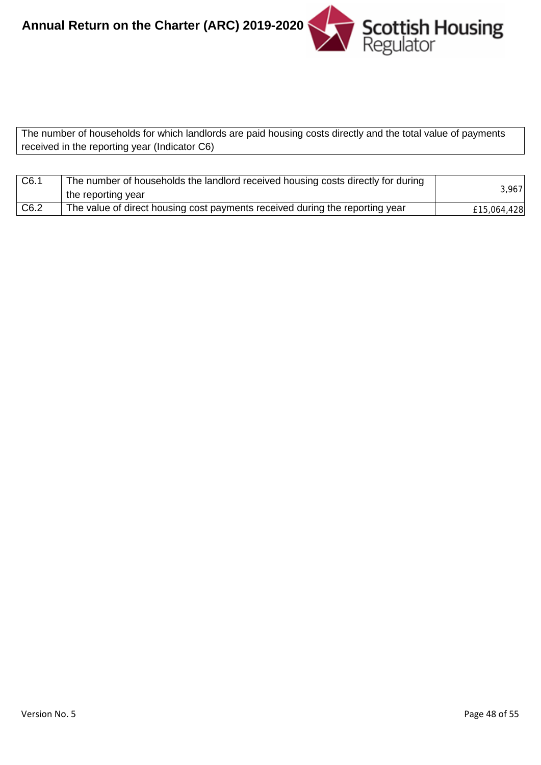

The number of households for which landlords are paid housing costs directly and the total value of payments received in the reporting year (Indicator C6)

| C6.1             | The number of households the landlord received housing costs directly for during<br>the reporting year | 3,967       |
|------------------|--------------------------------------------------------------------------------------------------------|-------------|
| C <sub>6.2</sub> | The value of direct housing cost payments received during the reporting year                           | £15,064,428 |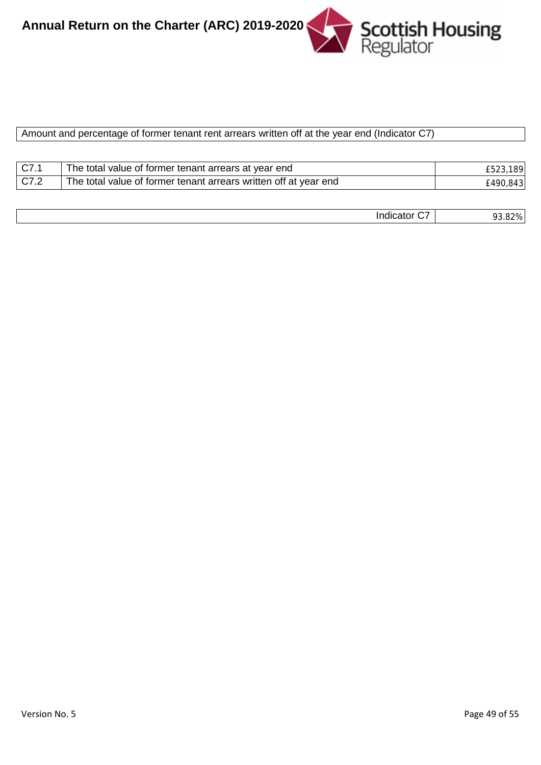

#### Amount and percentage of former tenant rent arrears written off at the year end (Indicator C7)

| C7.1 | I The total value of former tenant arrears at year end           | 1891      |
|------|------------------------------------------------------------------|-----------|
| C7.2 | The total value of former tenant arrears written off at year end | £490.8431 |

| __ | גו ר        |
|----|-------------|
|    | $- - - - -$ |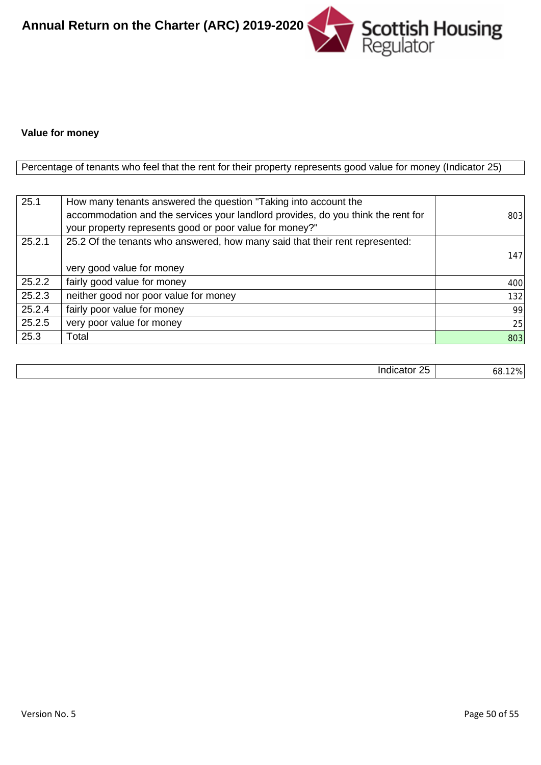

#### **Value for money**

Percentage of tenants who feel that the rent for their property represents good value for money (Indicator 25)

| 25.1   | How many tenants answered the question "Taking into account the                  |     |
|--------|----------------------------------------------------------------------------------|-----|
|        | accommodation and the services your landlord provides, do you think the rent for | 803 |
|        | your property represents good or poor value for money?"                          |     |
| 25.2.1 | 25.2 Of the tenants who answered, how many said that their rent represented:     |     |
|        |                                                                                  | 147 |
|        | very good value for money                                                        |     |
| 25.2.2 | fairly good value for money                                                      | 400 |
| 25.2.3 | neither good nor poor value for money                                            | 132 |
| 25.2.4 | fairly poor value for money                                                      | 99  |
| 25.2.5 | very poor value for money                                                        | 25  |
| 25.3   | Total                                                                            | 803 |

| --<br>--<br>ш<br>--<br>__ | ⁄ טר<br>Οč<br>70.<br>$\cdot$ |
|---------------------------|------------------------------|
|                           | __                           |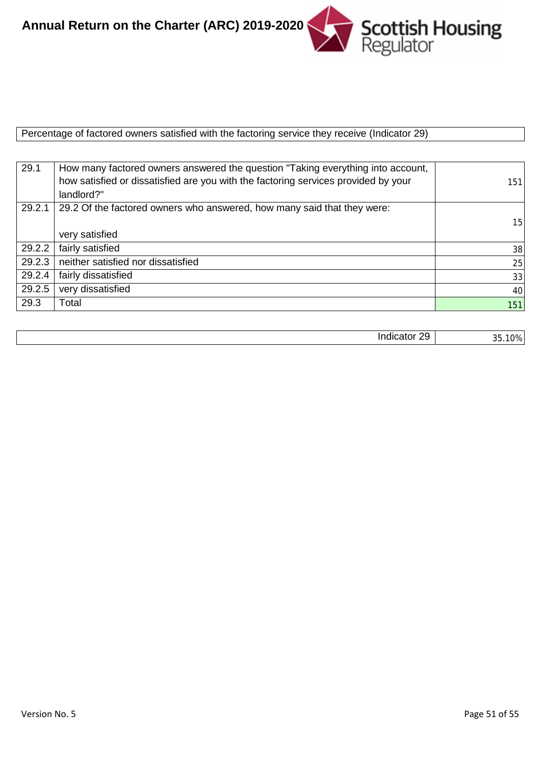

Percentage of factored owners satisfied with the factoring service they receive (Indicator 29)

| 29.1   | How many factored owners answered the question "Taking everything into account,    |     |
|--------|------------------------------------------------------------------------------------|-----|
|        | how satisfied or dissatisfied are you with the factoring services provided by your | 151 |
|        | landlord?"                                                                         |     |
| 29.2.1 | 29.2 Of the factored owners who answered, how many said that they were:            |     |
|        |                                                                                    | 15  |
|        | very satisfied                                                                     |     |
| 29.2.2 | fairly satisfied                                                                   | 38  |
| 29.2.3 | neither satisfied nor dissatisfied                                                 | 25  |
| 29.2.4 | fairly dissatisfied                                                                | 33  |
| 29.2.5 | very dissatisfied                                                                  | 40  |
| 29.3   | Total                                                                              | 151 |

| . .<br>ാവ<br>וחזי<br><br>$-2111$<br>-- |
|----------------------------------------|
|----------------------------------------|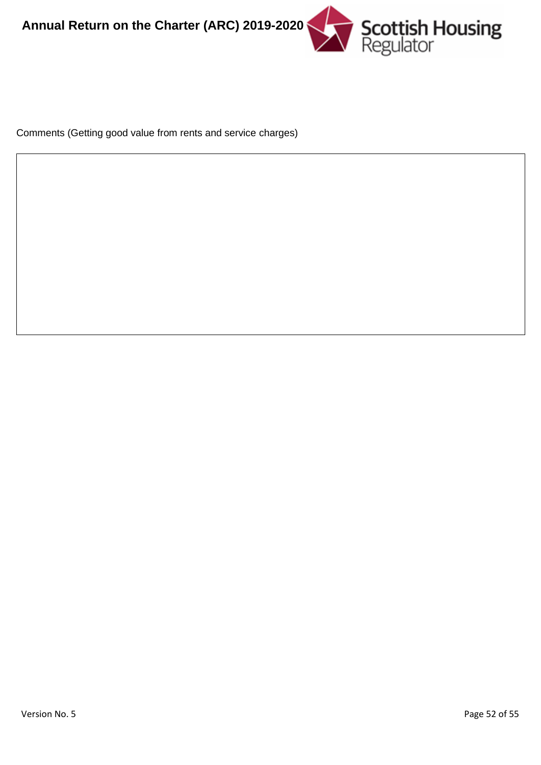

Comments (Getting good value from rents and service charges)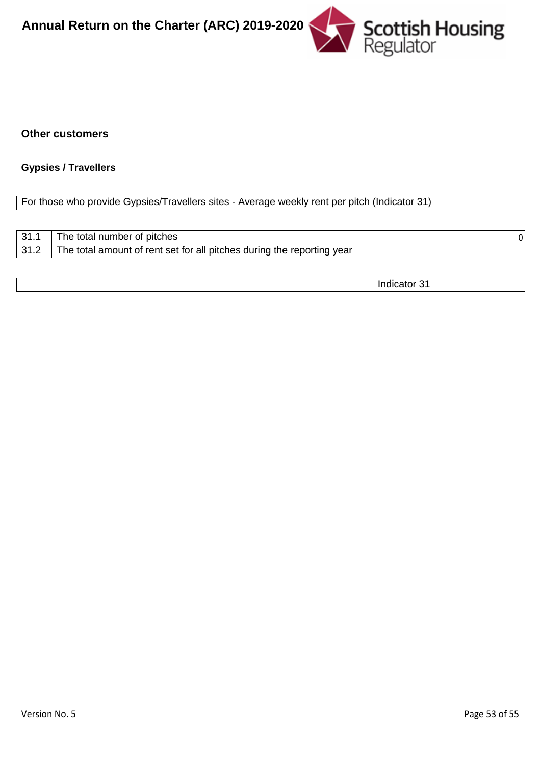

#### **Other customers**

#### **Gypsies / Travellers**

#### For those who provide Gypsies/Travellers sites - Average weekly rent per pitch (Indicator 31)

| $\vert$ 31.1 | The total number of pitches                                            |  |
|--------------|------------------------------------------------------------------------|--|
| 31.2         | The total amount of rent set for all pitches during the reporting year |  |

Indicator 31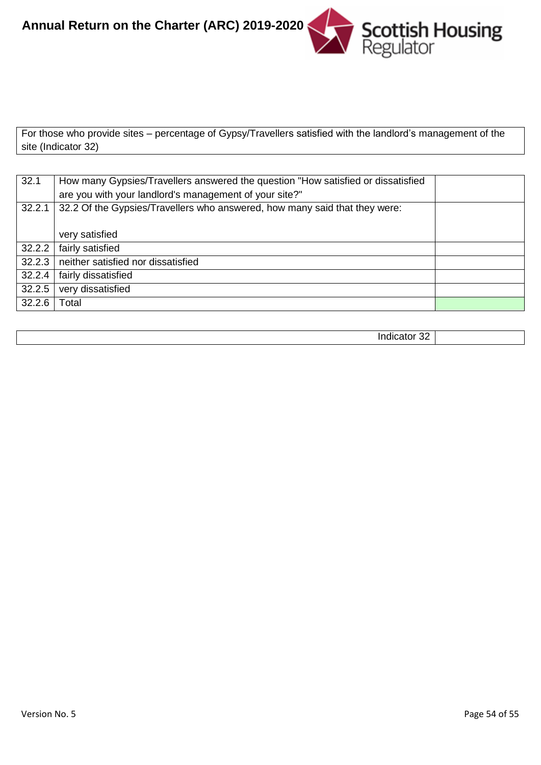

For those who provide sites – percentage of Gypsy/Travellers satisfied with the landlord's management of the site (Indicator 32)

| 32.1   | How many Gypsies/Travellers answered the question "How satisfied or dissatisfied<br>are you with your landlord's management of your site?" |  |
|--------|--------------------------------------------------------------------------------------------------------------------------------------------|--|
|        | 32.2.1 32.2 Of the Gypsies/Travellers who answered, how many said that they were:                                                          |  |
|        | very satisfied                                                                                                                             |  |
| 32.2.2 | fairly satisfied                                                                                                                           |  |
| 32.2.3 | neither satisfied nor dissatisfied                                                                                                         |  |
| 32.2.4 | fairly dissatisfied                                                                                                                        |  |
| 32.2.5 | very dissatisfied                                                                                                                          |  |
| 32.2.6 | Гоtal                                                                                                                                      |  |

| ےر<br>. |  |
|---------|--|